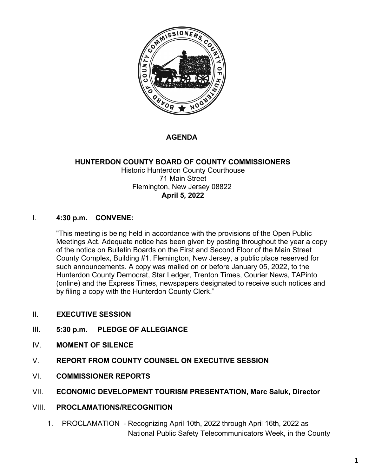

#### **AGENDA**

#### **HUNTERDON COUNTY BOARD OF COUNTY COMMISSIONERS** Historic Hunterdon County Courthouse 71 Main Street Flemington, New Jersey 08822 **April 5, 2022**

#### I. **4:30 p.m. CONVENE:**

"This meeting is being held in accordance with the provisions of the Open Public Meetings Act. Adequate notice has been given by posting throughout the year a copy of the notice on Bulletin Boards on the First and Second Floor of the Main Street County Complex, Building #1, Flemington, New Jersey, a public place reserved for such announcements. A copy was mailed on or before January 05, 2022, to the Hunterdon County Democrat, Star Ledger, Trenton Times, Courier News, TAPinto (online) and the Express Times, newspapers designated to receive such notices and by filing a copy with the Hunterdon County Clerk."

- II. **EXECUTIVE SESSION**
- III. **5:30 p.m. PLEDGE OF ALLEGIANCE**
- IV. **MOMENT OF SILENCE**
- V. **REPORT FROM COUNTY COUNSEL ON EXECUTIVE SESSION**
- VI. **COMMISSIONER REPORTS**
- VII. **ECONOMIC DEVELOPMENT TOURISM PRESENTATION, Marc Saluk, Director**
- VIII. **PROCLAMATIONS/RECOGNITION**
	- 1. PROCLAMATION Recognizing April 10th, 2022 through April 16th, 2022 as National Public Safety Telecommunicators Week, in the County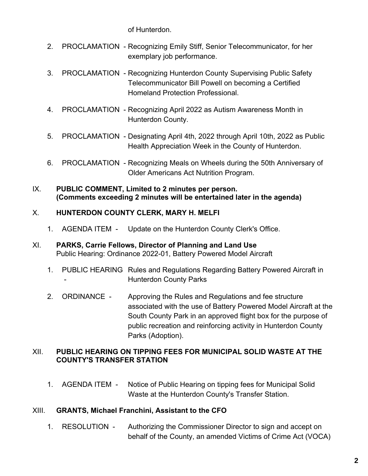of Hunterdon.

- 2. PROCLAMATION Recognizing Emily Stiff, Senior Telecommunicator, for her exemplary job performance.
- 3. PROCLAMATION Recognizing Hunterdon County Supervising Public Safety Telecommunicator Bill Powell on becoming a Certified Homeland Protection Professional.
- 4. PROCLAMATION Recognizing April 2022 as Autism Awareness Month in Hunterdon County.
- 5. PROCLAMATION Designating April 4th, 2022 through April 10th, 2022 as Public Health Appreciation Week in the County of Hunterdon.
- 6. PROCLAMATION Recognizing Meals on Wheels during the 50th Anniversary of Older Americans Act Nutrition Program.
- IX. **PUBLIC COMMENT, Limited to 2 minutes per person. (Comments exceeding 2 minutes will be entertained later in the agenda)**

#### X. **HUNTERDON COUNTY CLERK, MARY H. MELFI**

- 1. AGENDA ITEM Update on the Hunterdon County Clerk's Office.
- XI. **PARKS, Carrie Fellows, Director of Planning and Land Use** Public Hearing: Ordinance 2022-01, Battery Powered Model Aircraft
	- 1. PUBLIC HEARING Rules and Regulations Regarding Battery Powered Aircraft in - Hunterdon County Parks
	- 2. ORDINANCE Approving the Rules and Regulations and fee structure associated with the use of Battery Powered Model Aircraft at the South County Park in an approved flight box for the purpose of public recreation and reinforcing activity in Hunterdon County Parks (Adoption).

#### XII. **PUBLIC HEARING ON TIPPING FEES FOR MUNICIPAL SOLID WASTE AT THE COUNTY'S TRANSFER STATION**

1. AGENDA ITEM - Notice of Public Hearing on tipping fees for Municipal Solid Waste at the Hunterdon County's Transfer Station.

#### XIII. **GRANTS, Michael Franchini, Assistant to the CFO**

1. RESOLUTION - Authorizing the Commissioner Director to sign and accept on behalf of the County, an amended Victims of Crime Act (VOCA)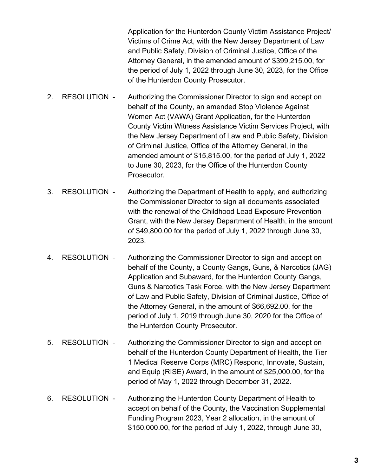Application for the Hunterdon County Victim Assistance Project/ Victims of Crime Act, with the New Jersey Department of Law and Public Safety, Division of Criminal Justice, Office of the Attorney General, in the amended amount of \$399,215.00, for the period of July 1, 2022 through June 30, 2023, for the Office of the Hunterdon County Prosecutor.

- 2. RESOLUTION Authorizing the Commissioner Director to sign and accept on behalf of the County, an amended Stop Violence Against Women Act (VAWA) Grant Application, for the Hunterdon County Victim Witness Assistance Victim Services Project, with the New Jersey Department of Law and Public Safety, Division of Criminal Justice, Office of the Attorney General, in the amended amount of \$15,815.00, for the period of July 1, 2022 to June 30, 2023, for the Office of the Hunterdon County Prosecutor.
- 3. RESOLUTION Authorizing the Department of Health to apply, and authorizing the Commissioner Director to sign all documents associated with the renewal of the Childhood Lead Exposure Prevention Grant, with the New Jersey Department of Health, in the amount of \$49,800.00 for the period of July 1, 2022 through June 30, 2023.
- 4. RESOLUTION Authorizing the Commissioner Director to sign and accept on behalf of the County, a County Gangs, Guns, & Narcotics (JAG) Application and Subaward, for the Hunterdon County Gangs, Guns & Narcotics Task Force, with the New Jersey Department of Law and Public Safety, Division of Criminal Justice, Office of the Attorney General, in the amount of \$66,692.00, for the period of July 1, 2019 through June 30, 2020 for the Office of the Hunterdon County Prosecutor.
- 5. RESOLUTION Authorizing the Commissioner Director to sign and accept on behalf of the Hunterdon County Department of Health, the Tier 1 Medical Reserve Corps (MRC) Respond, Innovate, Sustain, and Equip (RISE) Award, in the amount of \$25,000.00, for the period of May 1, 2022 through December 31, 2022.
- 6. RESOLUTION Authorizing the Hunterdon County Department of Health to accept on behalf of the County, the Vaccination Supplemental Funding Program 2023, Year 2 allocation, in the amount of \$150,000.00, for the period of July 1, 2022, through June 30,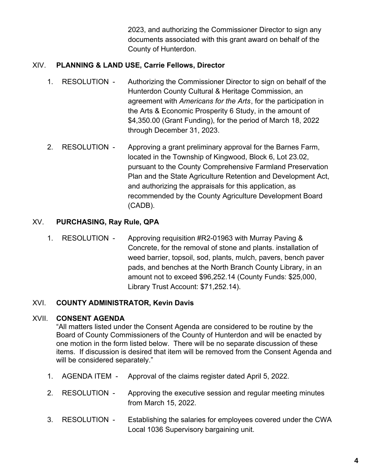2023, and authorizing the Commissioner Director to sign any documents associated with this grant award on behalf of the County of Hunterdon.

#### XIV. **PLANNING & LAND USE, Carrie Fellows, Director**

- 1. RESOLUTION Authorizing the Commissioner Director to sign on behalf of the Hunterdon County Cultural & Heritage Commission, an agreement with *Americans for the Arts*, for the participation in the Arts & Economic Prosperity 6 Study, in the amount of \$4,350.00 (Grant Funding), for the period of March 18, 2022 through December 31, 2023.
- 2. RESOLUTION Approving a grant preliminary approval for the Barnes Farm, located in the Township of Kingwood, Block 6, Lot 23.02, pursuant to the County Comprehensive Farmland Preservation Plan and the State Agriculture Retention and Development Act, and authorizing the appraisals for this application, as recommended by the County Agriculture Development Board (CADB).

#### XV. **PURCHASING, Ray Rule, QPA**

1. RESOLUTION - Approving requisition #R2-01963 with Murray Paving & Concrete, for the removal of stone and plants. installation of weed barrier, topsoil, sod, plants, mulch, pavers, bench paver pads, and benches at the North Branch County Library, in an amount not to exceed \$96,252.14 (County Funds: \$25,000, Library Trust Account: \$71,252.14).

#### XVI. **COUNTY ADMINISTRATOR, Kevin Davis**

#### XVII. **CONSENT AGENDA**

"All matters listed under the Consent Agenda are considered to be routine by the Board of County Commissioners of the County of Hunterdon and will be enacted by one motion in the form listed below. There will be no separate discussion of these items. If discussion is desired that item will be removed from the Consent Agenda and will be considered separately."

- 1. AGENDA ITEM Approval of the claims register dated April 5, 2022.
- 2. RESOLUTION Approving the executive session and regular meeting minutes from March 15, 2022.
- 3. RESOLUTION Establishing the salaries for employees covered under the CWA Local 1036 Supervisory bargaining unit.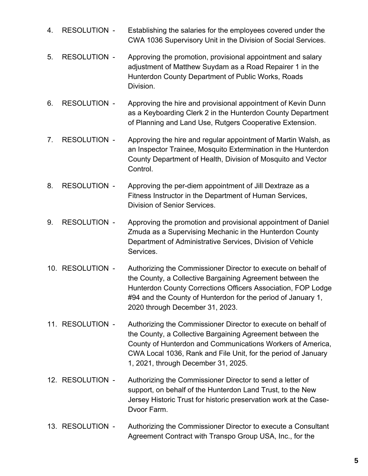- 4. RESOLUTION Establishing the salaries for the employees covered under the CWA 1036 Supervisory Unit in the Division of Social Services.
- 5. RESOLUTION Approving the promotion, provisional appointment and salary adjustment of Matthew Suydam as a Road Repairer 1 in the Hunterdon County Department of Public Works, Roads Division.
- 6. RESOLUTION Approving the hire and provisional appointment of Kevin Dunn as a Keyboarding Clerk 2 in the Hunterdon County Department of Planning and Land Use, Rutgers Cooperative Extension.
- 7. RESOLUTION Approving the hire and regular appointment of Martin Walsh, as an Inspector Trainee, Mosquito Extermination in the Hunterdon County Department of Health, Division of Mosquito and Vector Control.
- 8. RESOLUTION Approving the per-diem appointment of Jill Dextraze as a Fitness Instructor in the Department of Human Services, Division of Senior Services.
- 9. RESOLUTION Approving the promotion and provisional appointment of Daniel Zmuda as a Supervising Mechanic in the Hunterdon County Department of Administrative Services, Division of Vehicle Services.
- 10. RESOLUTION Authorizing the Commissioner Director to execute on behalf of the County, a Collective Bargaining Agreement between the Hunterdon County Corrections Officers Association, FOP Lodge #94 and the County of Hunterdon for the period of January 1, 2020 through December 31, 2023.
- 11. RESOLUTION Authorizing the Commissioner Director to execute on behalf of the County, a Collective Bargaining Agreement between the County of Hunterdon and Communications Workers of America, CWA Local 1036, Rank and File Unit, for the period of January 1, 2021, through December 31, 2025.
- 12. RESOLUTION Authorizing the Commissioner Director to send a letter of support, on behalf of the Hunterdon Land Trust, to the New Jersey Historic Trust for historic preservation work at the Case-Dvoor Farm.
- 13. RESOLUTION Authorizing the Commissioner Director to execute a Consultant Agreement Contract with Transpo Group USA, Inc., for the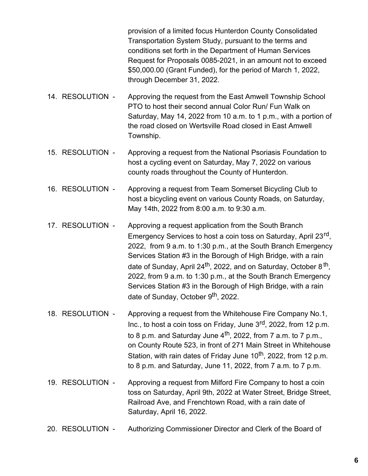provision of a limited focus Hunterdon County Consolidated Transportation System Study, pursuant to the terms and conditions set forth in the Department of Human Services Request for Proposals 0085-2021, in an amount not to exceed \$50,000.00 (Grant Funded), for the period of March 1, 2022, through December 31, 2022.

- 14. RESOLUTION Approving the request from the East Amwell Township School PTO to host their second annual Color Run/ Fun Walk on Saturday, May 14, 2022 from 10 a.m. to 1 p.m., with a portion of the road closed on Wertsville Road closed in East Amwell Township.
- 15. RESOLUTION Approving a request from the National Psoriasis Foundation to host a cycling event on Saturday, May 7, 2022 on various county roads throughout the County of Hunterdon.
- 16. RESOLUTION Approving a request from Team Somerset Bicycling Club to host a bicycling event on various County Roads, on Saturday, May 14th, 2022 from 8:00 a.m. to 9:30 a.m.
- 17. RESOLUTION Approving a request application from the South Branch Emergency Services to host a coin toss on Saturday, April 23<sup>rd</sup>, 2022, from 9 a.m. to 1:30 p.m., at the South Branch Emergency Services Station #3 in the Borough of High Bridge, with a rain date of Sunday, April 24<sup>th</sup>, 2022, and on Saturday, October 8<sup>th</sup>, 2022, from 9 a.m. to 1:30 p.m., at the South Branch Emergency Services Station #3 in the Borough of High Bridge, with a rain date of Sunday, October 9<sup>th</sup>, 2022.
- 18. RESOLUTION Approving a request from the Whitehouse Fire Company No.1, Inc., to host a coin toss on Friday, June 3<sup>rd</sup>, 2022, from 12 p.m. to 8 p.m. and Saturday June 4<sup>th</sup>, 2022, from 7 a.m. to 7 p.m., on County Route 523, in front of 271 Main Street in Whitehouse Station, with rain dates of Friday June 10<sup>th</sup>, 2022, from 12 p.m. to 8 p.m. and Saturday, June 11, 2022, from 7 a.m. to 7 p.m.
- 19. RESOLUTION Approving a request from Milford Fire Company to host a coin toss on Saturday, April 9th, 2022 at Water Street, Bridge Street, Railroad Ave, and Frenchtown Road, with a rain date of Saturday, April 16, 2022.
- 20. RESOLUTION Authorizing Commissioner Director and Clerk of the Board of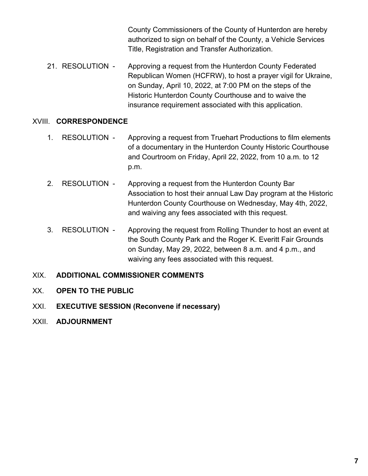County Commissioners of the County of Hunterdon are hereby authorized to sign on behalf of the County, a Vehicle Services Title, Registration and Transfer Authorization.

21. RESOLUTION - Approving a request from the Hunterdon County Federated Republican Women (HCFRW), to host a prayer vigil for Ukraine, on Sunday, April 10, 2022, at 7:00 PM on the steps of the Historic Hunterdon County Courthouse and to waive the insurance requirement associated with this application.

#### XVIII. **CORRESPONDENCE**

- 1. RESOLUTION Approving a request from Truehart Productions to film elements of a documentary in the Hunterdon County Historic Courthouse and Courtroom on Friday, April 22, 2022, from 10 a.m. to 12 p.m.
- 2. RESOLUTION Approving a request from the Hunterdon County Bar Association to host their annual Law Day program at the Historic Hunterdon County Courthouse on Wednesday, May 4th, 2022, and waiving any fees associated with this request.
- 3. RESOLUTION Approving the request from Rolling Thunder to host an event at the South County Park and the Roger K. Everitt Fair Grounds on Sunday, May 29, 2022, between 8 a.m. and 4 p.m., and waiving any fees associated with this request.

#### XIX. **ADDITIONAL COMMISSIONER COMMENTS**

- XX. **OPEN TO THE PUBLIC**
- XXI. **EXECUTIVE SESSION (Reconvene if necessary)**
- XXII. **ADJOURNMENT**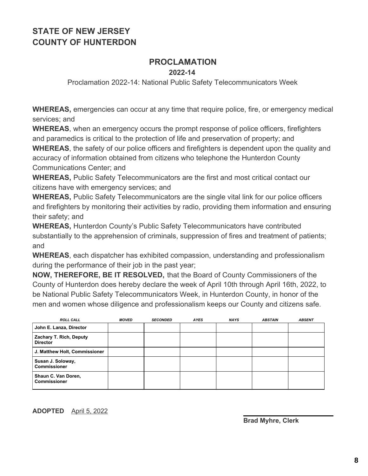### **PROCLAMATION**

**2022-14**

Proclamation 2022-14: National Public Safety Telecommunicators Week

**WHEREAS,** emergencies can occur at any time that require police, fire, or emergency medical services; and

**WHEREAS**, when an emergency occurs the prompt response of police officers, firefighters and paramedics is critical to the protection of life and preservation of property; and

**WHEREAS**, the safety of our police officers and firefighters is dependent upon the quality and accuracy of information obtained from citizens who telephone the Hunterdon County Communications Center; and

**WHEREAS,** Public Safety Telecommunicators are the first and most critical contact our citizens have with emergency services; and

**WHEREAS,** Public Safety Telecommunicators are the single vital link for our police officers and firefighters by monitoring their activities by radio, providing them information and ensuring their safety; and

**WHEREAS,** Hunterdon County's Public Safety Telecommunicators have contributed substantially to the apprehension of criminals, suppression of fires and treatment of patients; and

**WHEREAS**, each dispatcher has exhibited compassion, understanding and professionalism during the performance of their job in the past year;

**NOW, THEREFORE, BE IT RESOLVED,** that the Board of County Commissioners of the County of Hunterdon does hereby declare the week of April 10th through April 16th, 2022, to be National Public Safety Telecommunicators Week, in Hunterdon County, in honor of the men and women whose diligence and professionalism keeps our County and citizens safe.

| <b>ROLL CALL</b>                           | <b>MOVED</b> | <b>SECONDED</b> | <b>AYES</b> | <b>NAYS</b> | <b>ABSTAIN</b> | <b>ABSENT</b> |
|--------------------------------------------|--------------|-----------------|-------------|-------------|----------------|---------------|
| John E. Lanza, Director                    |              |                 |             |             |                |               |
| Zachary T. Rich, Deputy<br><b>Director</b> |              |                 |             |             |                |               |
| J. Matthew Holt, Commissioner              |              |                 |             |             |                |               |
| Susan J. Soloway,<br><b>Commissioner</b>   |              |                 |             |             |                |               |
| Shaun C. Van Doren,<br><b>Commissioner</b> |              |                 |             |             |                |               |

#### **ADOPTED** April 5, 2022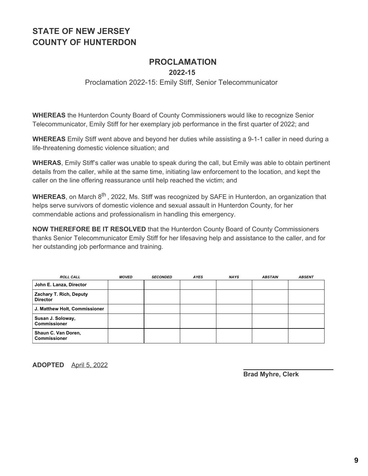### **PROCLAMATION**

**2022-15**

#### Proclamation 2022-15: Emily Stiff, Senior Telecommunicator

**WHEREAS** the Hunterdon County Board of County Commissioners would like to recognize Senior Telecommunicator, Emily Stiff for her exemplary job performance in the first quarter of 2022; and

**WHEREAS** Emily Stiff went above and beyond her duties while assisting a 9-1-1 caller in need during a life-threatening domestic violence situation; and

**WHERAS**, Emily Stiff's caller was unable to speak during the call, but Emily was able to obtain pertinent details from the caller, while at the same time, initiating law enforcement to the location, and kept the caller on the line offering reassurance until help reached the victim; and

**WHEREAS**, on March 8<sup>th</sup> , 2022, Ms. Stiff was recognized by SAFE in Hunterdon, an organization that helps serve survivors of domestic violence and sexual assault in Hunterdon County, for her commendable actions and professionalism in handling this emergency.

**NOW THEREFORE BE IT RESOLVED** that the Hunterdon County Board of County Commissioners thanks Senior Telecommunicator Emily Stiff for her lifesaving help and assistance to the caller, and for her outstanding job performance and training.

| <b>ROLL CALL</b>                           | MOVED | <b>SECONDED</b> | <b>AYES</b> | <b>NAYS</b> | <b>ABSTAIN</b> | <b>ABSENT</b> |
|--------------------------------------------|-------|-----------------|-------------|-------------|----------------|---------------|
| John E. Lanza, Director                    |       |                 |             |             |                |               |
| Zachary T. Rich, Deputy<br><b>Director</b> |       |                 |             |             |                |               |
| J. Matthew Holt, Commissioner              |       |                 |             |             |                |               |
| Susan J. Soloway,<br><b>Commissioner</b>   |       |                 |             |             |                |               |
| Shaun C. Van Doren,<br><b>Commissioner</b> |       |                 |             |             |                |               |

**ADOPTED** April 5, 2022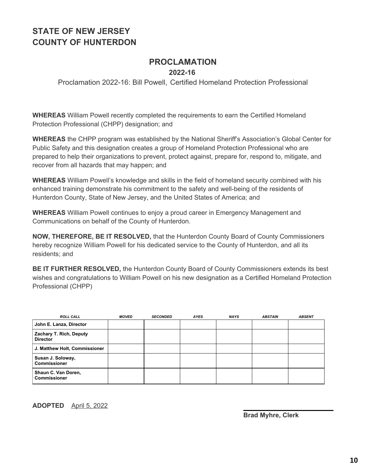## **PROCLAMATION**

**2022-16**

Proclamation 2022-16: Bill Powell, Certified Homeland Protection Professional

**WHEREAS** William Powell recently completed the requirements to earn the Certified Homeland Protection Professional (CHPP) designation; and

**WHEREAS** the CHPP program was established by the National Sheriff's Association's Global Center for Public Safety and this designation creates a group of Homeland Protection Professional who are prepared to help their organizations to prevent, protect against, prepare for, respond to, mitigate, and recover from all hazards that may happen; and

**WHEREAS** William Powell's knowledge and skills in the field of homeland security combined with his enhanced training demonstrate his commitment to the safety and well-being of the residents of Hunterdon County, State of New Jersey, and the United States of America; and

**WHEREAS** William Powell continues to enjoy a proud career in Emergency Management and Communications on behalf of the County of Hunterdon.

**NOW, THEREFORE, BE IT RESOLVED,** that the Hunterdon County Board of County Commissioners hereby recognize William Powell for his dedicated service to the County of Hunterdon, and all its residents; and

**BE IT FURTHER RESOLVED,** the Hunterdon County Board of County Commissioners extends its best wishes and congratulations to William Powell on his new designation as a Certified Homeland Protection Professional (CHPP)

| <b>ROLL CALL</b>                           | <b>MOVED</b> | <b>SECONDED</b> | <b>AYES</b> | <b>NAYS</b> | <b>ABSTAIN</b> | <b>ABSENT</b> |
|--------------------------------------------|--------------|-----------------|-------------|-------------|----------------|---------------|
| John E. Lanza, Director                    |              |                 |             |             |                |               |
| Zachary T. Rich, Deputy<br><b>Director</b> |              |                 |             |             |                |               |
| J. Matthew Holt, Commissioner              |              |                 |             |             |                |               |
| Susan J. Soloway,<br><b>Commissioner</b>   |              |                 |             |             |                |               |
| Shaun C. Van Doren,<br><b>Commissioner</b> |              |                 |             |             |                |               |

**ADOPTED** April 5, 2022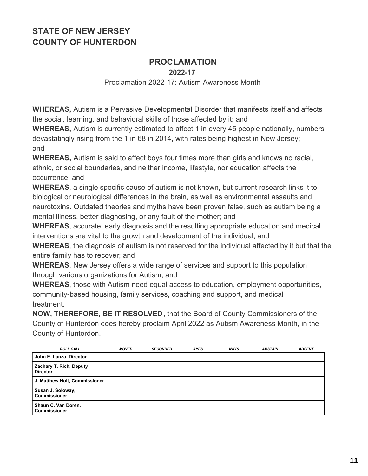### **PROCLAMATION**

**2022-17**

Proclamation 2022-17: Autism Awareness Month

**WHEREAS,** Autism is a Pervasive Developmental Disorder that manifests itself and affects the social, learning, and behavioral skills of those affected by it; and

**WHEREAS,** Autism is currently estimated to affect 1 in every 45 people nationally, numbers devastatingly rising from the 1 in 68 in 2014, with rates being highest in New Jersey; and

**WHEREAS,** Autism is said to affect boys four times more than girls and knows no racial, ethnic, or social boundaries, and neither income, lifestyle, nor education affects the occurrence; and

**WHEREAS**, a single specific cause of autism is not known, but current research links it to biological or neurological differences in the brain, as well as environmental assaults and neurotoxins. Outdated theories and myths have been proven false, such as autism being a mental illness, better diagnosing, or any fault of the mother; and

**WHEREAS**, accurate, early diagnosis and the resulting appropriate education and medical interventions are vital to the growth and development of the individual; and

**WHEREAS**, the diagnosis of autism is not reserved for the individual affected by it but that the entire family has to recover; and

**WHEREAS**, New Jersey offers a wide range of services and support to this population through various organizations for Autism; and

**WHEREAS**, those with Autism need equal access to education, employment opportunities, community-based housing, family services, coaching and support, and medical treatment.

**NOW, THEREFORE, BE IT RESOLVED**, that the Board of County Commissioners of the County of Hunterdon does hereby proclaim April 2022 as Autism Awareness Month, in the County of Hunterdon.

| <b>ROLL CALL</b>                           | <b>MOVED</b> | <b>SECONDED</b> | <b>AYES</b> | <b>NAYS</b> | <b>ABSTAIN</b> | <b>ABSENT</b> |
|--------------------------------------------|--------------|-----------------|-------------|-------------|----------------|---------------|
| John E. Lanza, Director                    |              |                 |             |             |                |               |
| Zachary T. Rich, Deputy<br><b>Director</b> |              |                 |             |             |                |               |
| J. Matthew Holt, Commissioner              |              |                 |             |             |                |               |
| Susan J. Soloway,<br><b>Commissioner</b>   |              |                 |             |             |                |               |
| Shaun C. Van Doren,<br><b>Commissioner</b> |              |                 |             |             |                |               |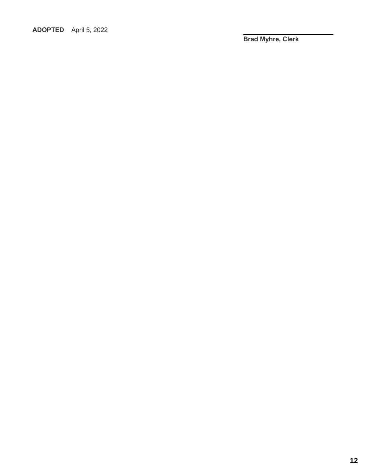#### **ADOPTED** April 5, 2022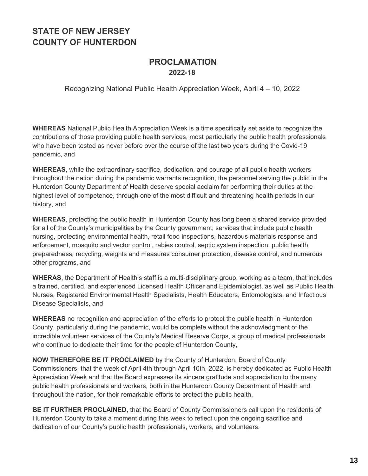#### **PROCLAMATION 2022-18**

Recognizing National Public Health Appreciation Week, April 4 – 10, 2022

**WHEREAS** National Public Health Appreciation Week is a time specifically set aside to recognize the contributions of those providing public health services, most particularly the public health professionals who have been tested as never before over the course of the last two years during the Covid-19 pandemic, and

**WHEREAS**, while the extraordinary sacrifice, dedication, and courage of all public health workers throughout the nation during the pandemic warrants recognition, the personnel serving the public in the Hunterdon County Department of Health deserve special acclaim for performing their duties at the highest level of competence, through one of the most difficult and threatening health periods in our history, and

**WHEREAS**, protecting the public health in Hunterdon County has long been a shared service provided for all of the County's municipalities by the County government, services that include public health nursing, protecting environmental health, retail food inspections, hazardous materials response and enforcement, mosquito and vector control, rabies control, septic system inspection, public health preparedness, recycling, weights and measures consumer protection, disease control, and numerous other programs, and

**WHERAS**, the Department of Health's staff is a multi-disciplinary group, working as a team, that includes a trained, certified, and experienced Licensed Health Officer and Epidemiologist, as well as Public Health Nurses, Registered Environmental Health Specialists, Health Educators, Entomologists, and Infectious Disease Specialists, and

**WHEREAS** no recognition and appreciation of the efforts to protect the public health in Hunterdon County, particularly during the pandemic, would be complete without the acknowledgment of the incredible volunteer services of the County's Medical Reserve Corps, a group of medical professionals who continue to dedicate their time for the people of Hunterdon County,

**NOW THEREFORE BE IT PROCLAIMED** by the County of Hunterdon, Board of County Commissioners, that the week of April 4th through April 10th, 2022, is hereby dedicated as Public Health Appreciation Week and that the Board expresses its sincere gratitude and appreciation to the many public health professionals and workers, both in the Hunterdon County Department of Health and throughout the nation, for their remarkable efforts to protect the public health,

**BE IT FURTHER PROCLAINED**, that the Board of County Commissioners call upon the residents of Hunterdon County to take a moment during this week to reflect upon the ongoing sacrifice and dedication of our County's public health professionals, workers, and volunteers.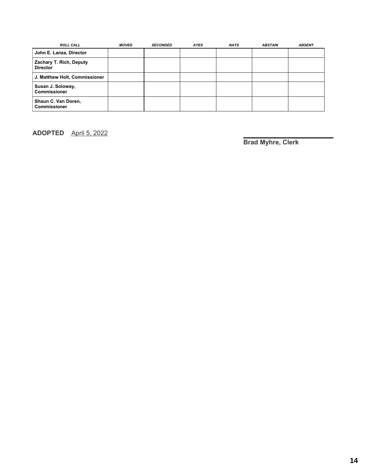| <b>ROLL CALL</b>                           | <b>MOVED</b> | <b>SECONDED</b> | <b>AYES</b> | <b>NAYS</b> | <b>ABSTAIN</b> | <b>ABSENT</b> |
|--------------------------------------------|--------------|-----------------|-------------|-------------|----------------|---------------|
| John E. Lanza, Director                    |              |                 |             |             |                |               |
| Zachary T. Rich, Deputy<br><b>Director</b> |              |                 |             |             |                |               |
| J. Matthew Holt, Commissioner              |              |                 |             |             |                |               |
| Susan J. Soloway,<br><b>Commissioner</b>   |              |                 |             |             |                |               |
| Shaun C. Van Doren,<br><b>Commissioner</b> |              |                 |             |             |                |               |

**ADOPTED** April 5, 2022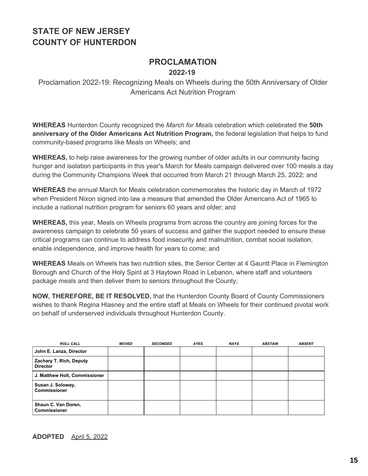# **PROCLAMATION**

## **2022-19**

Proclamation 2022-19: Recognizing Meals on Wheels during the 50th Anniversary of Older Americans Act Nutrition Program

**WHEREAS** Hunterdon County recognized the *March for Meals* celebration which celebrated the **50th anniversary of the Older Americans Act Nutrition Program,** the federal legislation that helps to fund community-based programs like Meals on Wheels; and

**WHEREAS,** to help raise awareness for the growing number of older adults in our community facing hunger and isolation participants in this year's March for Meals campaign delivered over 100 meals a day during the Community Champions Week that occurred from March 21 through March 25, 2022; and

**WHEREAS** the annual March for Meals celebration commemorates the historic day in March of 1972 when President Nixon signed into law a measure that amended the Older Americans Act of 1965 to include a national nutrition program for seniors 60 years and older; and

**WHEREAS,** this year, Meals on Wheels programs from across the country are joining forces for the awareness campaign to celebrate 50 years of success and gather the support needed to ensure these critical programs can continue to address food insecurity and malnutrition, combat social isolation, enable independence, and improve health for years to come; and

**WHEREAS** Meals on Wheels has two nutrition sites, the Senior Center at 4 Gauntt Place in Flemington Borough and Church of the Holy Spirit at 3 Haytown Road in Lebanon, where staff and volunteers package meals and then deliver them to seniors throughout the County;

**NOW, THEREFORE, BE IT RESOLVED,** that the Hunterdon County Board of County Commissioners wishes to thank Regina Hlasney and the entire staff at Meals on Wheels for their continued pivotal work on behalf of underserved individuals throughout Hunterdon County.

| <b>ROLL CALL</b>                           | <b>MOVED</b> | <b>SECONDED</b> | <b>AYES</b> | <b>NAYS</b> | <b>ABSTAIN</b> | <b>ABSENT</b> |
|--------------------------------------------|--------------|-----------------|-------------|-------------|----------------|---------------|
| John E. Lanza, Director                    |              |                 |             |             |                |               |
| Zachary T. Rich, Deputy<br><b>Director</b> |              |                 |             |             |                |               |
| J. Matthew Holt, Commissioner              |              |                 |             |             |                |               |
| Susan J. Soloway,<br><b>Commissioner</b>   |              |                 |             |             |                |               |
| Shaun C. Van Doren,<br><b>Commissioner</b> |              |                 |             |             |                |               |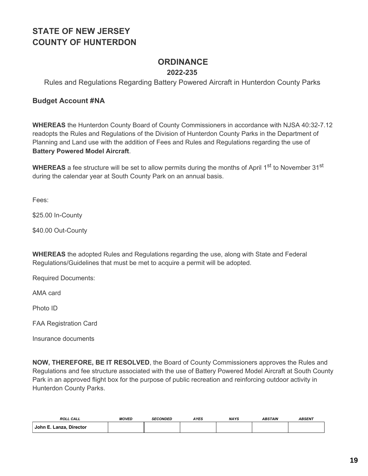### **ORDINANCE**

#### **2022-235**

Rules and Regulations Regarding Battery Powered Aircraft in Hunterdon County Parks

#### **Budget Account #NA**

**WHEREAS** the Hunterdon County Board of County Commissioners in accordance with NJSA 40:32-7.12 readopts the Rules and Regulations of the Division of Hunterdon County Parks in the Department of Planning and Land use with the addition of Fees and Rules and Regulations regarding the use of **Battery Powered Model Aircraft**.

WHEREAS a fee structure will be set to allow permits during the months of April 1<sup>st</sup> to November 31<sup>st</sup> during the calendar year at South County Park on an annual basis.

Fees:

\$25.00 In-County

\$40.00 Out-County

**WHEREAS** the adopted Rules and Regulations regarding the use, along with State and Federal Regulations/Guidelines that must be met to acquire a permit will be adopted.

Required Documents:

AMA card

Photo ID

FAA Registration Card

Insurance documents

**NOW, THEREFORE, BE IT RESOLVED**, the Board of County Commissioners approves the Rules and Regulations and fee structure associated with the use of Battery Powered Model Aircraft at South County Park in an approved flight box for the purpose of public recreation and reinforcing outdoor activity in Hunterdon County Parks.

| <b>ROLL CALL</b>        | <b>MOVED</b> | <b>SECONDED</b> | <b>IYES</b> | <b>NAYS</b> | <b>ABSTAIN</b> | <b>ABSENT</b> |
|-------------------------|--------------|-----------------|-------------|-------------|----------------|---------------|
| John E. Lanza, Director |              |                 |             |             |                |               |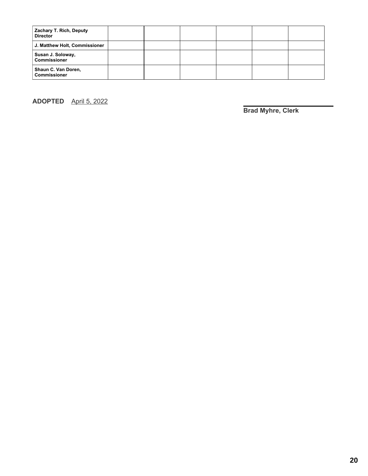| Zachary T. Rich, Deputy<br><b>Director</b> |  |  |  |
|--------------------------------------------|--|--|--|
| J. Matthew Holt, Commissioner              |  |  |  |
| Susan J. Soloway,<br><b>Commissioner</b>   |  |  |  |
| Shaun C. Van Doren,<br><b>Commissioner</b> |  |  |  |

**ADOPTED** April 5, 2022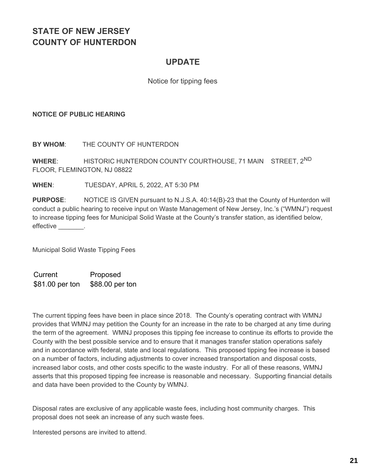### **UPDATE**

#### Notice for tipping fees

#### **NOTICE OF PUBLIC HEARING**

**BY WHOM**: THE COUNTY OF HUNTERDON

**WHERE**: HISTORIC HUNTERDON COUNTY COURTHOUSE, 71 MAIN STREET, 2ND FLOOR, FLEMINGTON, NJ 08822

**WHEN**: TUESDAY, APRIL 5, 2022, AT 5:30 PM

**PURPOSE**: NOTICE IS GIVEN pursuant to N.J.S.A. 40:14(B)-23 that the County of Hunterdon will conduct a public hearing to receive input on Waste Management of New Jersey, Inc.'s ("WMNJ") request to increase tipping fees for Municipal Solid Waste at the County's transfer station, as identified below, effective \_\_\_\_\_\_\_.

Municipal Solid Waste Tipping Fees

Current Proposed \$81.00 per ton \$88.00 per ton

The current tipping fees have been in place since 2018. The County's operating contract with WMNJ provides that WMNJ may petition the County for an increase in the rate to be charged at any time during the term of the agreement. WMNJ proposes this tipping fee increase to continue its efforts to provide the County with the best possible service and to ensure that it manages transfer station operations safely and in accordance with federal, state and local regulations. This proposed tipping fee increase is based on a number of factors, including adjustments to cover increased transportation and disposal costs, increased labor costs, and other costs specific to the waste industry. For all of these reasons, WMNJ asserts that this proposed tipping fee increase is reasonable and necessary. Supporting financial details and data have been provided to the County by WMNJ.

Disposal rates are exclusive of any applicable waste fees, including host community charges. This proposal does not seek an increase of any such waste fees.

Interested persons are invited to attend.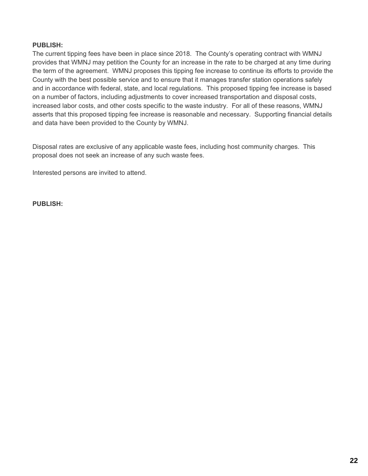#### **PUBLISH:**

The current tipping fees have been in place since 2018. The County's operating contract with WMNJ provides that WMNJ may petition the County for an increase in the rate to be charged at any time during the term of the agreement. WMNJ proposes this tipping fee increase to continue its efforts to provide the County with the best possible service and to ensure that it manages transfer station operations safely and in accordance with federal, state, and local regulations. This proposed tipping fee increase is based on a number of factors, including adjustments to cover increased transportation and disposal costs, increased labor costs, and other costs specific to the waste industry. For all of these reasons, WMNJ asserts that this proposed tipping fee increase is reasonable and necessary. Supporting financial details and data have been provided to the County by WMNJ.

Disposal rates are exclusive of any applicable waste fees, including host community charges. This proposal does not seek an increase of any such waste fees.

Interested persons are invited to attend.

**PUBLISH:**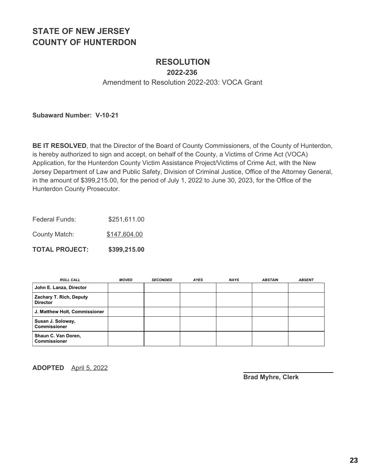### **RESOLUTION**

**2022-236**

Amendment to Resolution 2022-203: VOCA Grant

**Subaward Number: V-10-21**

**BE IT RESOLVED**, that the Director of the Board of County Commissioners, of the County of Hunterdon, is hereby authorized to sign and accept, on behalf of the County, a Victims of Crime Act (VOCA) Application, for the Hunterdon County Victim Assistance Project/Victims of Crime Act, with the New Jersey Department of Law and Public Safety, Division of Criminal Justice, Office of the Attorney General, in the amount of \$399,215.00, for the period of July 1, 2022 to June 30, 2023, for the Office of the Hunterdon County Prosecutor.

Federal Funds: \$251,611.00

County Match: \$147,604.00

**TOTAL PROJECT: \$399,215.00**

| <b>ROLL CALL</b>                           | <b>MOVED</b> | <b>SECONDED</b> | <b>AYES</b> | <b>NAYS</b> | <b>ABSTAIN</b> | <b>ABSENT</b> |
|--------------------------------------------|--------------|-----------------|-------------|-------------|----------------|---------------|
| John E. Lanza, Director                    |              |                 |             |             |                |               |
| Zachary T. Rich, Deputy<br><b>Director</b> |              |                 |             |             |                |               |
| J. Matthew Holt, Commissioner              |              |                 |             |             |                |               |
| Susan J. Soloway,<br><b>Commissioner</b>   |              |                 |             |             |                |               |
| Shaun C. Van Doren,<br><b>Commissioner</b> |              |                 |             |             |                |               |

**ADOPTED** April 5, 2022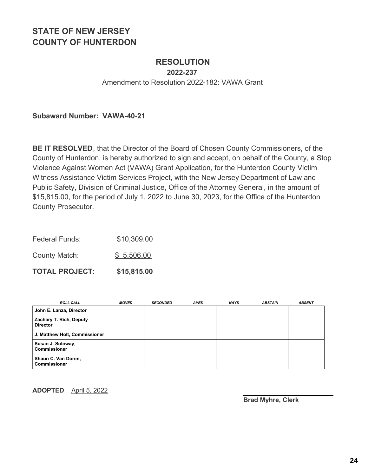### **RESOLUTION**

**2022-237**

Amendment to Resolution 2022-182: VAWA Grant

**Subaward Number: VAWA-40-21**

**BE IT RESOLVED**, that the Director of the Board of Chosen County Commissioners, of the County of Hunterdon, is hereby authorized to sign and accept, on behalf of the County, a Stop Violence Against Women Act (VAWA) Grant Application, for the Hunterdon County Victim Witness Assistance Victim Services Project, with the New Jersey Department of Law and Public Safety, Division of Criminal Justice, Office of the Attorney General, in the amount of \$15,815.00, for the period of July 1, 2022 to June 30, 2023, for the Office of the Hunterdon County Prosecutor.

| <b>TOTAL PROJECT:</b> | \$15,815.00 |
|-----------------------|-------------|
| County Match:         | \$5,506.00  |
| <b>Federal Funds:</b> | \$10,309.00 |

| <b>ROLL CALL</b>                           | <b>MOVED</b> | <b>SECONDED</b> | <b>AYES</b> | <b>NAYS</b> | <b>ABSTAIN</b> | <b>ABSENT</b> |
|--------------------------------------------|--------------|-----------------|-------------|-------------|----------------|---------------|
| John E. Lanza, Director                    |              |                 |             |             |                |               |
| Zachary T. Rich, Deputy<br><b>Director</b> |              |                 |             |             |                |               |
| J. Matthew Holt, Commissioner              |              |                 |             |             |                |               |
| Susan J. Soloway,<br><b>Commissioner</b>   |              |                 |             |             |                |               |
| Shaun C. Van Doren,<br><b>Commissioner</b> |              |                 |             |             |                |               |

**ADOPTED** April 5, 2022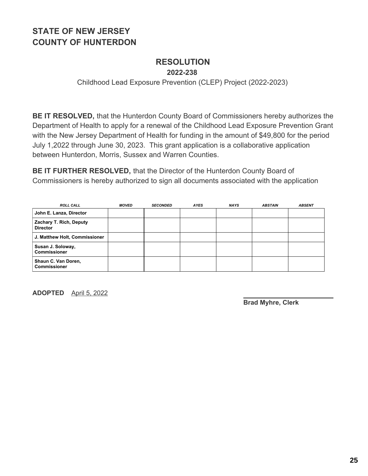# **RESOLUTION**

**2022-238**

Childhood Lead Exposure Prevention (CLEP) Project (2022-2023)

**BE IT RESOLVED,** that the Hunterdon County Board of Commissioners hereby authorizes the Department of Health to apply for a renewal of the Childhood Lead Exposure Prevention Grant with the New Jersey Department of Health for funding in the amount of \$49,800 for the period July 1,2022 through June 30, 2023. This grant application is a collaborative application between Hunterdon, Morris, Sussex and Warren Counties.

**BE IT FURTHER RESOLVED,** that the Director of the Hunterdon County Board of Commissioners is hereby authorized to sign all documents associated with the application

| <b>ROLL CALL</b>                           | MOVED | <b>SECONDED</b> | <b>AYES</b> | <b>NAYS</b> | <b>ABSTAIN</b> | <b>ABSENT</b> |
|--------------------------------------------|-------|-----------------|-------------|-------------|----------------|---------------|
| John E. Lanza, Director                    |       |                 |             |             |                |               |
| Zachary T. Rich, Deputy<br><b>Director</b> |       |                 |             |             |                |               |
| J. Matthew Holt, Commissioner              |       |                 |             |             |                |               |
| Susan J. Soloway,<br><b>Commissioner</b>   |       |                 |             |             |                |               |
| Shaun C. Van Doren,<br><b>Commissioner</b> |       |                 |             |             |                |               |

**ADOPTED** April 5, 2022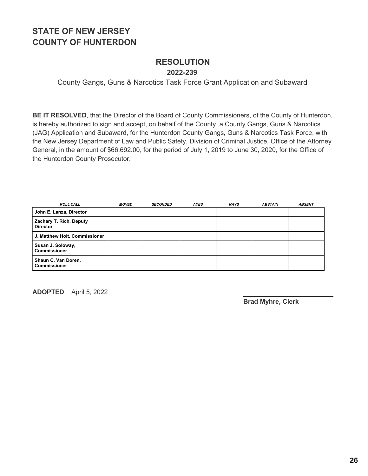#### **RESOLUTION 2022-239**

County Gangs, Guns & Narcotics Task Force Grant Application and Subaward

**BE IT RESOLVED**, that the Director of the Board of County Commissioners, of the County of Hunterdon, is hereby authorized to sign and accept, on behalf of the County, a County Gangs, Guns & Narcotics (JAG) Application and Subaward, for the Hunterdon County Gangs, Guns & Narcotics Task Force, with the New Jersey Department of Law and Public Safety, Division of Criminal Justice, Office of the Attorney General, in the amount of \$66,692.00, for the period of July 1, 2019 to June 30, 2020, for the Office of the Hunterdon County Prosecutor.

| <b>ROLL CALL</b>                                  | <b>MOVED</b> | <b>SECONDED</b> | <b>AYES</b> | <b>NAYS</b> | <b>ABSTAIN</b> | <b>ABSENT</b> |
|---------------------------------------------------|--------------|-----------------|-------------|-------------|----------------|---------------|
| John E. Lanza, Director                           |              |                 |             |             |                |               |
| <b>Zachary T. Rich, Deputy</b><br><b>Director</b> |              |                 |             |             |                |               |
| J. Matthew Holt, Commissioner                     |              |                 |             |             |                |               |
| Susan J. Soloway,<br>l Commissioner               |              |                 |             |             |                |               |
| Shaun C. Van Doren,<br>l Commissioner             |              |                 |             |             |                |               |

**ADOPTED** April 5, 2022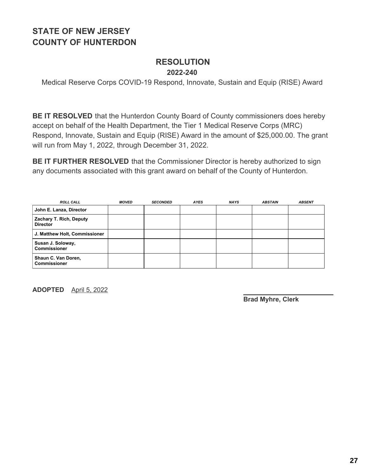#### **RESOLUTION 2022-240**

Medical Reserve Corps COVID-19 Respond, Innovate, Sustain and Equip (RISE) Award

**BE IT RESOLVED** that the Hunterdon County Board of County commissioners does hereby accept on behalf of the Health Department, the Tier 1 Medical Reserve Corps (MRC) Respond, Innovate, Sustain and Equip (RISE) Award in the amount of \$25,000.00. The grant will run from May 1, 2022, through December 31, 2022.

**BE IT FURTHER RESOLVED** that the Commissioner Director is hereby authorized to sign any documents associated with this grant award on behalf of the County of Hunterdon.

| <b>ROLL CALL</b>                                  | <b>MOVED</b> | <b>SECONDED</b> | <b>AYES</b> | <b>NAYS</b> | <b>ABSTAIN</b> | <b>ABSENT</b> |
|---------------------------------------------------|--------------|-----------------|-------------|-------------|----------------|---------------|
| John E. Lanza, Director                           |              |                 |             |             |                |               |
| <b>Zachary T. Rich, Deputy</b><br><b>Director</b> |              |                 |             |             |                |               |
| J. Matthew Holt, Commissioner                     |              |                 |             |             |                |               |
| Susan J. Soloway,<br>l Commissioner               |              |                 |             |             |                |               |
| Shaun C. Van Doren,<br>l Commissioner             |              |                 |             |             |                |               |

**ADOPTED** April 5, 2022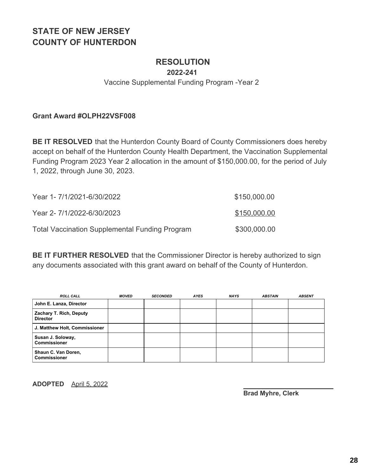### **RESOLUTION**

**2022-241**

Vaccine Supplemental Funding Program -Year 2

**Grant Award #OLPH22VSF008**

**BE IT RESOLVED** that the Hunterdon County Board of County Commissioners does hereby accept on behalf of the Hunterdon County Health Department, the Vaccination Supplemental Funding Program 2023 Year 2 allocation in the amount of \$150,000.00, for the period of July 1, 2022, through June 30, 2023.

| Year 1-7/1/2021-6/30/2022                             | \$150,000.00 |
|-------------------------------------------------------|--------------|
| Year 2-7/1/2022-6/30/2023                             | \$150,000.00 |
| <b>Total Vaccination Supplemental Funding Program</b> | \$300,000.00 |

**BE IT FURTHER RESOLVED** that the Commissioner Director is hereby authorized to sign any documents associated with this grant award on behalf of the County of Hunterdon.

| <b>ROLL CALL</b>                           | <b>MOVED</b> | <b>SECONDED</b> | <b>AYES</b> | <b>NAYS</b> | <b>ABSTAIN</b> | <b>ABSENT</b> |
|--------------------------------------------|--------------|-----------------|-------------|-------------|----------------|---------------|
| John E. Lanza, Director                    |              |                 |             |             |                |               |
| Zachary T. Rich, Deputy<br><b>Director</b> |              |                 |             |             |                |               |
| J. Matthew Holt, Commissioner              |              |                 |             |             |                |               |
| Susan J. Soloway,<br><b>Commissioner</b>   |              |                 |             |             |                |               |
| Shaun C. Van Doren,<br><b>Commissioner</b> |              |                 |             |             |                |               |

**ADOPTED** April 5, 2022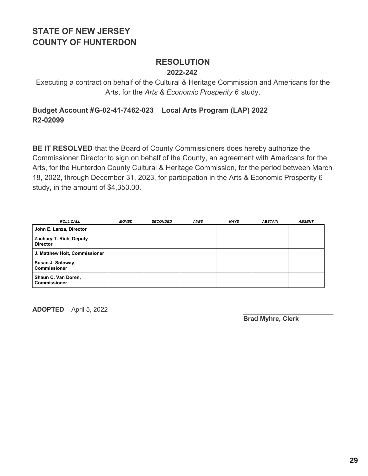#### **RESOLUTION 2022-242**

Executing a contract on behalf of the Cultural & Heritage Commission and Americans for the Arts, for the *Arts & Economic Prosperity 6* study.

#### **Budget Account #G-02-41-7462-023 Local Arts Program (LAP) 2022 R2-02099**

**BE IT RESOLVED** that the Board of County Commissioners does hereby authorize the Commissioner Director to sign on behalf of the County, an agreement with Americans for the Arts, for the Hunterdon County Cultural & Heritage Commission, for the period between March 18, 2022, through December 31, 2023, for participation in the Arts & Economic Prosperity 6 study, in the amount of \$4,350.00.

| <b>ROLL CALL</b>                           | <b>MOVED</b> | <b>SECONDED</b> | <b>AYES</b> | <b>NAYS</b> | <b>ABSTAIN</b> | <b>ABSENT</b> |
|--------------------------------------------|--------------|-----------------|-------------|-------------|----------------|---------------|
| John E. Lanza, Director                    |              |                 |             |             |                |               |
| Zachary T. Rich, Deputy<br><b>Director</b> |              |                 |             |             |                |               |
| J. Matthew Holt, Commissioner              |              |                 |             |             |                |               |
| Susan J. Soloway,<br><b>Commissioner</b>   |              |                 |             |             |                |               |
| Shaun C. Van Doren,<br><b>Commissioner</b> |              |                 |             |             |                |               |

**ADOPTED** April 5, 2022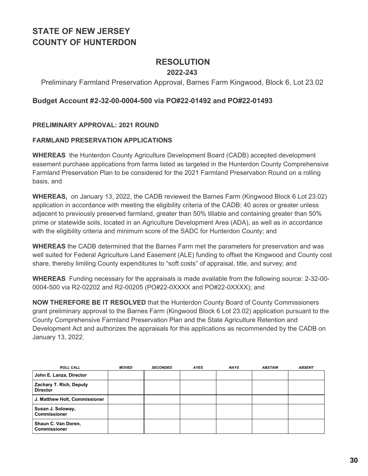### **RESOLUTION**

#### **2022-243**

#### Preliminary Farmland Preservation Approval, Barnes Farm Kingwood, Block 6, Lot 23.02

#### **Budget Account #2-32-00-0004-500 via PO#22-01492 and PO#22-01493**

#### **PRELIMINARY APPROVAL: 2021 ROUND**

#### **FARMLAND PRESERVATION APPLICATIONS**

**WHEREAS** the Hunterdon County Agriculture Development Board (CADB) accepted development easement purchase applications from farms listed as targeted in the Hunterdon County Comprehensive Farmland Preservation Plan to be considered for the 2021 Farmland Preservation Round on a rolling basis, and

**WHEREAS,** on January 13, 2022, the CADB reviewed the Barnes Farm (Kingwood Block 6 Lot 23.02) application in accordance with meeting the eligibility criteria of the CADB: 40 acres or greater unless adjacent to previously preserved farmland, greater than 50% tillable and containing greater than 50% prime or statewide soils, located in an Agriculture Development Area (ADA), as well as in accordance with the eligibility criteria and minimum score of the SADC for Hunterdon County; and

**WHEREAS** the CADB determined that the Barnes Farm met the parameters for preservation and was well suited for Federal Agriculture Land Easement (ALE) funding to offset the Kingwood and County cost share, thereby limiting County expenditures to "soft costs" of appraisal, title, and survey; and

**WHEREAS** Funding necessary for the appraisals is made available from the following source: 2-32-00- 0004-500 via R2-02202 and R2-00205 (PO#22-0XXXX and PO#22-0XXXX); and

**NOW THEREFORE BE IT RESOLVED** that the Hunterdon County Board of County Commissioners grant preliminary approval to the Barnes Farm (Kingwood Block 6 Lot 23.02) application pursuant to the County Comprehensive Farmland Preservation Plan and the State Agriculture Retention and Development Act and authorizes the appraisals for this applications as recommended by the CADB on January 13, 2022.

| <b>ROLL CALL</b>                           | <b>MOVED</b> | <b>SECONDED</b> | <b>AYES</b> | <b>NAYS</b> | <b>ABSTAIN</b> | <b>ABSENT</b> |
|--------------------------------------------|--------------|-----------------|-------------|-------------|----------------|---------------|
| John E. Lanza, Director                    |              |                 |             |             |                |               |
| Zachary T. Rich, Deputy<br><b>Director</b> |              |                 |             |             |                |               |
| J. Matthew Holt, Commissioner              |              |                 |             |             |                |               |
| Susan J. Soloway,<br><b>Commissioner</b>   |              |                 |             |             |                |               |
| Shaun C. Van Doren,<br><b>Commissioner</b> |              |                 |             |             |                |               |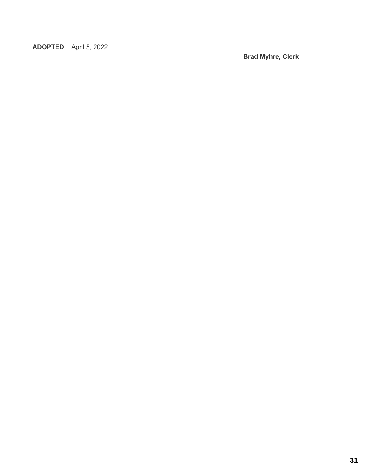**ADOPTED** April 5, 2022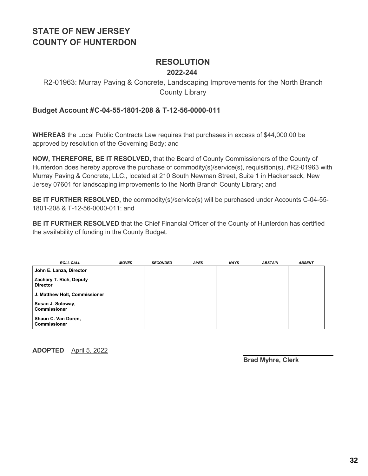### **RESOLUTION**

#### **2022-244**

### R2-01963: Murray Paving & Concrete, Landscaping Improvements for the North Branch County Library

#### **Budget Account #C-04-55-1801-208 & T-12-56-0000-011**

**WHEREAS** the Local Public Contracts Law requires that purchases in excess of \$44,000.00 be approved by resolution of the Governing Body; and

**NOW, THEREFORE, BE IT RESOLVED,** that the Board of County Commissioners of the County of Hunterdon does hereby approve the purchase of commodity(s)/service(s), requisition(s), #R2-01963 with Murray Paving & Concrete, LLC., located at 210 South Newman Street, Suite 1 in Hackensack, New Jersey 07601 for landscaping improvements to the North Branch County Library; and

**BE IT FURTHER RESOLVED,** the commodity(s)/service(s) will be purchased under Accounts C-04-55- 1801-208 & T-12-56-0000-011; and

**BE IT FURTHER RESOLVED** that the Chief Financial Officer of the County of Hunterdon has certified the availability of funding in the County Budget.

| <b>ROLL CALL</b>                           | <b>MOVED</b> | <b>SECONDED</b> | <b>AYES</b> | <b>NAYS</b> | <b>ABSTAIN</b> | <b>ABSENT</b> |
|--------------------------------------------|--------------|-----------------|-------------|-------------|----------------|---------------|
| John E. Lanza, Director                    |              |                 |             |             |                |               |
| Zachary T. Rich, Deputy<br><b>Director</b> |              |                 |             |             |                |               |
| J. Matthew Holt, Commissioner              |              |                 |             |             |                |               |
| Susan J. Soloway,<br><b>Commissioner</b>   |              |                 |             |             |                |               |
| Shaun C. Van Doren,<br><b>Commissioner</b> |              |                 |             |             |                |               |

**ADOPTED** April 5, 2022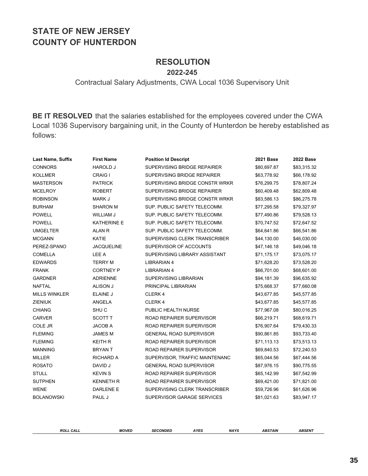#### **RESOLUTION 2022-245**

#### Contractual Salary Adjustments, CWA Local 1036 Supervisory Unit

**BE IT RESOLVED** that the salaries established for the employees covered under the CWA Local 1036 Supervisory bargaining unit, in the County of Hunterdon be hereby established as follows:

| Last Name, Suffix    | <b>First Name</b>  | <b>Position Id Descript</b>    | 2021 Base   | <b>2022 Base</b> |
|----------------------|--------------------|--------------------------------|-------------|------------------|
| <b>CONNORS</b>       | <b>HAROLD J</b>    | SUPERVISING BRIDGE REPAIRER    | \$80,697.87 | \$83,315.32      |
| <b>KOLLMER</b>       | <b>CRAIG I</b>     | SUPERVSING BRIDGE REPAIRER     | \$63,778.92 | \$66,178.92      |
| <b>MASTERSON</b>     | <b>PATRICK</b>     | SUPERVISING BRIDGE CONSTR WRKR | \$76,299.75 | \$78,807.24      |
| <b>MCELROY</b>       | <b>ROBERT</b>      | SUPERVISING BRIDGE REPAIRER    | \$60,409.48 | \$62,809.48      |
| <b>ROBINSON</b>      | MARK J             | SUPERVISING BRIDGE CONSTR WRKR | \$83,586.13 | \$86,275.78      |
| <b>BURHAM</b>        | <b>SHARON M</b>    | SUP. PUBLIC SAFETY TELECOMM.   | \$77,295.58 | \$79,327.97      |
| <b>POWELL</b>        | WILLIAM J          | SUP. PUBLIC SAFETY TELECOMM.   | \$77,490.86 | \$79,528.13      |
| <b>POWELL</b>        | <b>KATHERINE E</b> | SUP. PUBLIC SAFETY TELECOMM.   | \$70,747.52 | \$72,647.52      |
| <b>UMGELTER</b>      | <b>ALAN R</b>      | SUP. PUBLIC SAFETY TELECOMM.   | \$64,641.86 | \$66,541.86      |
| <b>MCGANN</b>        | <b>KATIE</b>       | SUPERVISING CLERK TRANSCRIBER  | \$44,130.00 | \$46,030.00      |
| PEREZ-SPANO          | <b>JACQUELINE</b>  | SUPERVISOR OF ACCOUNTS         | \$47,146.18 | \$49,046.18      |
| <b>COMELLA</b>       | LEE A              | SUPERVISING LIBRARY ASSISTANT  | \$71,175.17 | \$73,075.17      |
| <b>EDWARDS</b>       | <b>TERRY M</b>     | <b>LIBRARIAN 4</b>             | \$71,628.20 | \$73,528.20      |
| <b>FRANK</b>         | <b>CORTNEY P</b>   | <b>LIBRARIAN 4</b>             | \$66,701.00 | \$68,601.00      |
| <b>GARDNER</b>       | <b>ADRIENNE</b>    | SUPERVISING LIBRARIAN          | \$94,181.39 | \$96,635.92      |
| <b>NAFTAL</b>        | <b>ALISON J</b>    | PRINCIPAL LIBRARIAN            | \$75,668.37 | \$77,660.08      |
| <b>MILLS WINKLER</b> | ELAINE J           | CLERK 4                        | \$43,677.85 | \$45,577.85      |
| <b>ZIENIUK</b>       | ANGELA             | CLERK 4                        | \$43,677.85 | \$45,577.85      |
| <b>CHIANG</b>        | SHU <sub>C</sub>   | PUBLIC HEALTH NURSE            | \$77,967.08 | \$80,016.25      |
| <b>CARVER</b>        | <b>SCOTT T</b>     | ROAD REPAIRER SUPERVISOR       | \$66,219.71 | \$68,619.71      |
| <b>COLE JR</b>       | <b>JACOB A</b>     | ROAD REPAIRER SUPERVISOR       | \$76,907.64 | \$79,430.33      |
| <b>FLEMING</b>       | <b>JAMES M</b>     | <b>GENERAL ROAD SUPERVISOR</b> | \$90,861.85 | \$93,733.40      |
| <b>FLEMING</b>       | <b>KEITH R</b>     | ROAD REPAIRER SUPERVISOR       | \$71,113.13 | \$73,513.13      |
| <b>MANNING</b>       | <b>BRYANT</b>      | ROAD REPAIRER SUPERVISOR       | \$69,840.53 | \$72,240.53      |
| <b>MILLER</b>        | <b>RICHARD A</b>   | SUPERVISOR, TRAFFIC MAINTENANC | \$65,044.56 | \$67,444.56      |
| <b>ROSATO</b>        | DAVID J            | <b>GENERAL ROAD SUPERVISOR</b> | \$87,976.15 | \$90,775.55      |
| <b>STULL</b>         | <b>KEVIN S</b>     | ROAD REPAIRER SUPERVISOR       | \$65,142.99 | \$67,542.99      |
| <b>SUTPHEN</b>       | <b>KENNETH R</b>   | ROAD REPAIRER SUPERVISOR       | \$69,421.00 | \$71,821.00      |
| <b>WENE</b>          | DARLENE E          | SUPERVISING CLERK TRANSCRIBER  | \$59,726.96 | \$61,626.96      |
| <b>BOLANOWSKI</b>    | PAUL J             | SUPERVISOR GARAGE SERVICES     | \$81,021.63 | \$83,947.17      |

*ROLL CALL MOVED SECONDED AYES NAYS ABSTAIN ABSENT*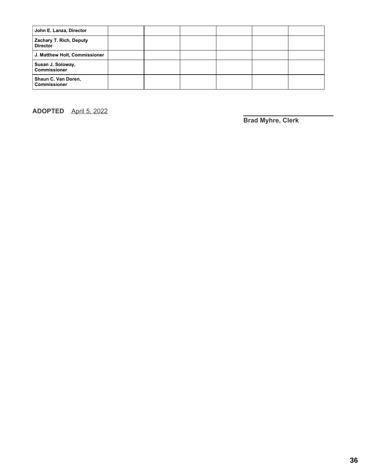| John E. Lanza, Director                    |  |  |  |
|--------------------------------------------|--|--|--|
| Zachary T. Rich, Deputy<br><b>Director</b> |  |  |  |
| J. Matthew Holt, Commissioner              |  |  |  |
| Susan J. Soloway,<br><b>Commissioner</b>   |  |  |  |
| Shaun C. Van Doren,<br><b>Commissioner</b> |  |  |  |

**ADOPTED** April 5, 2022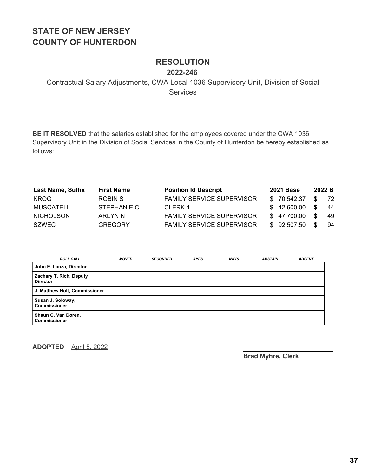## **RESOLUTION**

**2022-246**

Contractual Salary Adjustments, CWA Local 1036 Supervisory Unit, Division of Social **Services** 

**BE IT RESOLVED** that the salaries established for the employees covered under the CWA 1036 Supervisory Unit in the Division of Social Services in the County of Hunterdon be hereby established as follows:

| <b>Last Name, Suffix</b> | <b>First Name</b> | <b>Position Id Descript</b>      | <b>2021 Base</b> | 2022B            |      |
|--------------------------|-------------------|----------------------------------|------------------|------------------|------|
| <b>KROG</b>              | ROBIN S           | <b>FAMILY SERVICE SUPERVISOR</b> | \$70.542.37      | \$ 72            |      |
| <b>MUSCATELL</b>         | STEPHANIE C       | CLERK 4                          | \$42,600.00      | $\texttt{\$}$ 44 |      |
| <b>NICHOLSON</b>         | ARLYN N           | <b>FAMILY SERVICE SUPERVISOR</b> | \$47,700.00      | S.               | - 49 |
| <b>SZWEC</b>             | <b>GREGORY</b>    | <b>FAMILY SERVICE SUPERVISOR</b> | \$92,507.50      | -SS              | -94  |

| <b>ROLL CALL</b>                           | <b>MOVED</b> | <b>SECONDED</b> | <b>AYES</b> | <b>NAYS</b> | <b>ABSTAIN</b> | <b>ABSENT</b> |
|--------------------------------------------|--------------|-----------------|-------------|-------------|----------------|---------------|
| John E. Lanza, Director                    |              |                 |             |             |                |               |
| Zachary T. Rich, Deputy<br><b>Director</b> |              |                 |             |             |                |               |
| J. Matthew Holt, Commissioner              |              |                 |             |             |                |               |
| Susan J. Soloway,<br><b>Commissioner</b>   |              |                 |             |             |                |               |
| Shaun C. Van Doren,<br><b>Commissioner</b> |              |                 |             |             |                |               |

**ADOPTED** April 5, 2022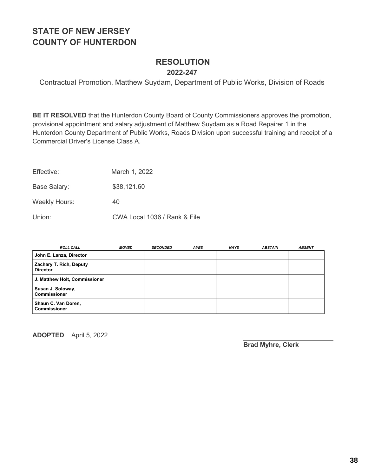#### **RESOLUTION 2022-247**

Contractual Promotion, Matthew Suydam, Department of Public Works, Division of Roads

**BE IT RESOLVED** that the Hunterdon County Board of County Commissioners approves the promotion, provisional appointment and salary adjustment of Matthew Suydam as a Road Repairer 1 in the Hunterdon County Department of Public Works, Roads Division upon successful training and receipt of a Commercial Driver's License Class A.

Base Salary: \$38,121.60

Weekly Hours: 40

Union: CWA Local 1036 / Rank & File

| <b>ROLL CALL</b>                           | <b>MOVED</b> | <b>SECONDED</b> | AYES | <b>NAYS</b> | <b>ABSTAIN</b> | <b>ABSENT</b> |
|--------------------------------------------|--------------|-----------------|------|-------------|----------------|---------------|
| John E. Lanza, Director                    |              |                 |      |             |                |               |
| Zachary T. Rich, Deputy<br><b>Director</b> |              |                 |      |             |                |               |
| J. Matthew Holt, Commissioner              |              |                 |      |             |                |               |
| Susan J. Soloway,<br><b>Commissioner</b>   |              |                 |      |             |                |               |
| Shaun C. Van Doren,<br><b>Commissioner</b> |              |                 |      |             |                |               |

**ADOPTED** April 5, 2022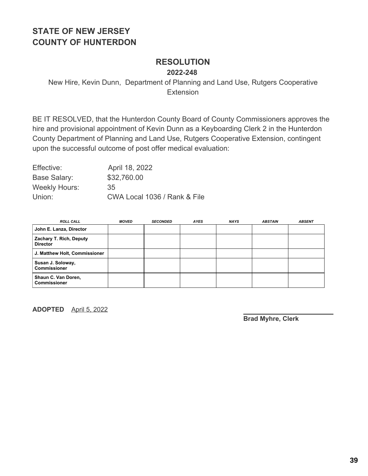#### **RESOLUTION 2022-248**

New Hire, Kevin Dunn, Department of Planning and Land Use, Rutgers Cooperative **Extension** 

BE IT RESOLVED, that the Hunterdon County Board of County Commissioners approves the hire and provisional appointment of Kevin Dunn as a Keyboarding Clerk 2 in the Hunterdon County Department of Planning and Land Use, Rutgers Cooperative Extension, contingent upon the successful outcome of post offer medical evaluation:

Effective: April 18, 2022 Base Salary: \$32,760.00 Weekly Hours: 35 Union: CWA Local 1036 / Rank & File

| <b>ROLL CALL</b>                           | <b>MOVED</b> | <b>SECONDED</b> | <b>AYES</b> | <b>NAYS</b> | <b>ABSTAIN</b> | <b>ABSENT</b> |
|--------------------------------------------|--------------|-----------------|-------------|-------------|----------------|---------------|
| John E. Lanza, Director                    |              |                 |             |             |                |               |
| Zachary T. Rich, Deputy<br><b>Director</b> |              |                 |             |             |                |               |
| J. Matthew Holt, Commissioner              |              |                 |             |             |                |               |
| Susan J. Soloway,<br><b>Commissioner</b>   |              |                 |             |             |                |               |
| Shaun C. Van Doren,<br><b>Commissioner</b> |              |                 |             |             |                |               |

**ADOPTED** April 5, 2022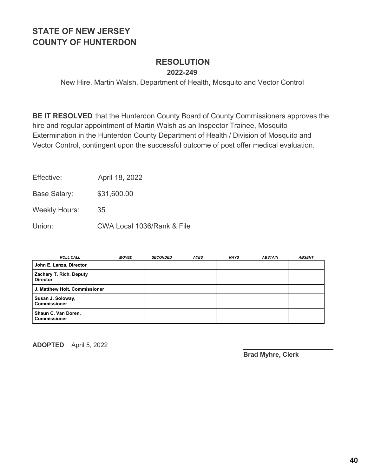#### **RESOLUTION 2022-249**

New Hire, Martin Walsh, Department of Health, Mosquito and Vector Control

**BE IT RESOLVED** that the Hunterdon County Board of County Commissioners approves the hire and regular appointment of Martin Walsh as an Inspector Trainee, Mosquito Extermination in the Hunterdon County Department of Health / Division of Mosquito and Vector Control, contingent upon the successful outcome of post offer medical evaluation.

Effective: April 18, 2022

Base Salary: \$31,600.00

Weekly Hours: 35

Union: CWA Local 1036/Rank & File

| <b>ROLL CALL</b>                           | <b>MOVED</b> | <b>SECONDED</b> | <b>AYES</b> | <b>NAYS</b> | <b>ABSTAIN</b> | <b>ABSENT</b> |
|--------------------------------------------|--------------|-----------------|-------------|-------------|----------------|---------------|
| John E. Lanza, Director                    |              |                 |             |             |                |               |
| Zachary T. Rich, Deputy<br><b>Director</b> |              |                 |             |             |                |               |
| J. Matthew Holt, Commissioner              |              |                 |             |             |                |               |
| Susan J. Soloway,<br><b>Commissioner</b>   |              |                 |             |             |                |               |
| Shaun C. Van Doren,<br><b>Commissioner</b> |              |                 |             |             |                |               |

**ADOPTED** April 5, 2022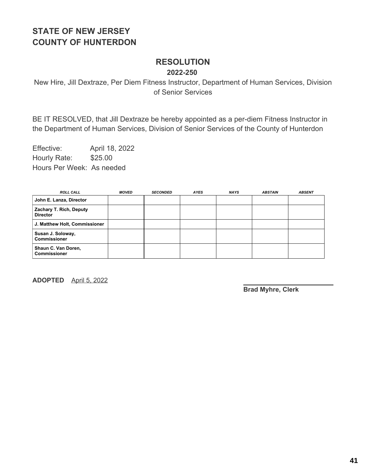# **RESOLUTION**

**2022-250**

New Hire, Jill Dextraze, Per Diem Fitness Instructor, Department of Human Services, Division of Senior Services

BE IT RESOLVED, that Jill Dextraze be hereby appointed as a per-diem Fitness Instructor in the Department of Human Services, Division of Senior Services of the County of Hunterdon

Effective: April 18, 2022 Hourly Rate: \$25.00 Hours Per Week: As needed

| <b>ROLL CALL</b>                           | MOVED | <b>SECONDED</b> | <b>AYES</b> | <b>NAYS</b> | <b>ABSTAIN</b> | <b>ABSENT</b> |
|--------------------------------------------|-------|-----------------|-------------|-------------|----------------|---------------|
| John E. Lanza, Director                    |       |                 |             |             |                |               |
| Zachary T. Rich, Deputy<br><b>Director</b> |       |                 |             |             |                |               |
| J. Matthew Holt, Commissioner              |       |                 |             |             |                |               |
| Susan J. Soloway,<br><b>Commissioner</b>   |       |                 |             |             |                |               |
| Shaun C. Van Doren,<br><b>Commissioner</b> |       |                 |             |             |                |               |

**ADOPTED** April 5, 2022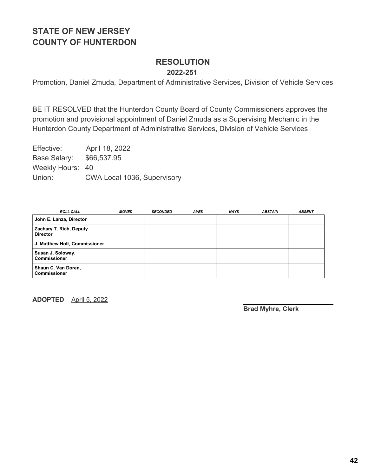#### **RESOLUTION 2022-251**

Promotion, Daniel Zmuda, Department of Administrative Services, Division of Vehicle Services

BE IT RESOLVED that the Hunterdon County Board of County Commissioners approves the promotion and provisional appointment of Daniel Zmuda as a Supervising Mechanic in the Hunterdon County Department of Administrative Services, Division of Vehicle Services

Effective: April 18, 2022 Base Salary: \$66,537.95 Weekly Hours: 40 Union: CWA Local 1036, Supervisory

| <b>ROLL CALL</b>                           | <b>MOVED</b> | <b>SECONDED</b> | <b>AYES</b> | <b>NAYS</b> | <b>ABSTAIN</b> | <b>ABSENT</b> |
|--------------------------------------------|--------------|-----------------|-------------|-------------|----------------|---------------|
| John E. Lanza, Director                    |              |                 |             |             |                |               |
| Zachary T. Rich, Deputy<br><b>Director</b> |              |                 |             |             |                |               |
| J. Matthew Holt, Commissioner              |              |                 |             |             |                |               |
| Susan J. Soloway,<br><b>Commissioner</b>   |              |                 |             |             |                |               |
| Shaun C. Van Doren,<br><b>Commissioner</b> |              |                 |             |             |                |               |

**ADOPTED** April 5, 2022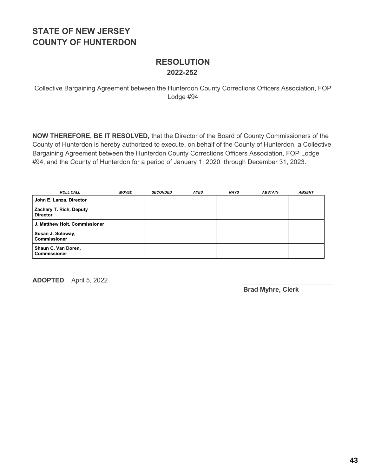### **RESOLUTION 2022-252**

Collective Bargaining Agreement between the Hunterdon County Corrections Officers Association, FOP Lodge #94

**NOW THEREFORE, BE IT RESOLVED,** that the Director of the Board of County Commissioners of the County of Hunterdon is hereby authorized to execute, on behalf of the County of Hunterdon, a Collective Bargaining Agreement between the Hunterdon County Corrections Officers Association, FOP Lodge #94, and the County of Hunterdon for a period of January 1, 2020 through December 31, 2023.

| <b>ROLL CALL</b>                           | <b>MOVED</b> | <b>SECONDED</b> | <b>AYES</b> | <b>NAYS</b> | <b>ABSTAIN</b> | <b>ABSENT</b> |
|--------------------------------------------|--------------|-----------------|-------------|-------------|----------------|---------------|
| John E. Lanza, Director                    |              |                 |             |             |                |               |
| Zachary T. Rich, Deputy<br><b>Director</b> |              |                 |             |             |                |               |
| J. Matthew Holt, Commissioner              |              |                 |             |             |                |               |
| Susan J. Soloway,<br><b>Commissioner</b>   |              |                 |             |             |                |               |
| Shaun C. Van Doren,<br><b>Commissioner</b> |              |                 |             |             |                |               |

**ADOPTED** April 5, 2022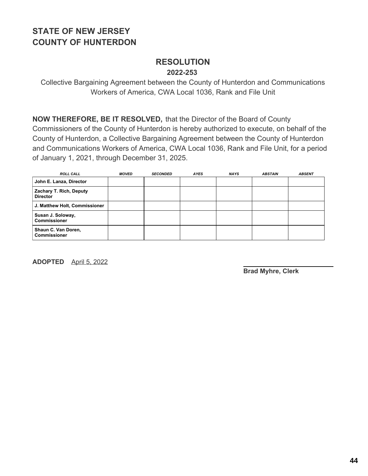### **RESOLUTION 2022-253**

Collective Bargaining Agreement between the County of Hunterdon and Communications Workers of America, CWA Local 1036, Rank and File Unit

**NOW THEREFORE, BE IT RESOLVED,** that the Director of the Board of County Commissioners of the County of Hunterdon is hereby authorized to execute, on behalf of the County of Hunterdon, a Collective Bargaining Agreement between the County of Hunterdon and Communications Workers of America, CWA Local 1036, Rank and File Unit, for a period of January 1, 2021, through December 31, 2025.

| <b>ROLL CALL</b>                           | <b>MOVED</b> | <b>SECONDED</b> | <b>AYES</b> | <b>NAYS</b> | <b>ABSTAIN</b> | <b>ABSENT</b> |
|--------------------------------------------|--------------|-----------------|-------------|-------------|----------------|---------------|
| John E. Lanza, Director                    |              |                 |             |             |                |               |
| Zachary T. Rich, Deputy<br><b>Director</b> |              |                 |             |             |                |               |
| J. Matthew Holt, Commissioner              |              |                 |             |             |                |               |
| Susan J. Soloway,<br><b>Commissioner</b>   |              |                 |             |             |                |               |
| Shaun C. Van Doren,<br><b>Commissioner</b> |              |                 |             |             |                |               |

**ADOPTED** April 5, 2022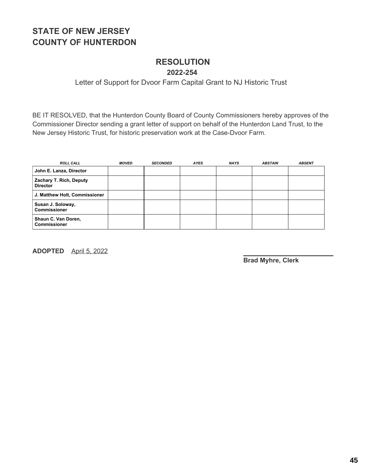#### **RESOLUTION 2022-254**

#### Letter of Support for Dvoor Farm Capital Grant to NJ Historic Trust

BE IT RESOLVED, that the Hunterdon County Board of County Commissioners hereby approves of the Commissioner Director sending a grant letter of support on behalf of the Hunterdon Land Trust, to the New Jersey Historic Trust, for historic preservation work at the Case-Dvoor Farm.

| <b>ROLL CALL</b>                           | <b>MOVED</b> | <b>SECONDED</b> | <b>AYES</b> | <b>NAYS</b> | <b>ABSTAIN</b> | <b>ABSENT</b> |
|--------------------------------------------|--------------|-----------------|-------------|-------------|----------------|---------------|
| John E. Lanza, Director                    |              |                 |             |             |                |               |
| Zachary T. Rich, Deputy<br><b>Director</b> |              |                 |             |             |                |               |
| J. Matthew Holt, Commissioner              |              |                 |             |             |                |               |
| Susan J. Soloway,<br><b>Commissioner</b>   |              |                 |             |             |                |               |
| Shaun C. Van Doren,<br><b>Commissioner</b> |              |                 |             |             |                |               |

**ADOPTED** April 5, 2022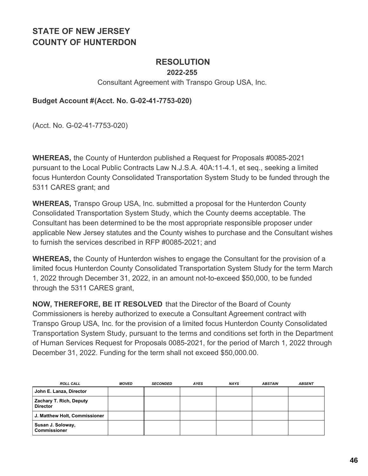### **RESOLUTION**

#### **2022-255**

#### Consultant Agreement with Transpo Group USA, Inc.

#### **Budget Account #(Acct. No. G-02-41-7753-020)**

(Acct. No. G-02-41-7753-020)

**WHEREAS,** the County of Hunterdon published a Request for Proposals #0085-2021 pursuant to the Local Public Contracts Law N.J.S.A. 40A:11-4.1, et seq., seeking a limited focus Hunterdon County Consolidated Transportation System Study to be funded through the 5311 CARES grant; and

**WHEREAS,** Transpo Group USA, Inc. submitted a proposal for the Hunterdon County Consolidated Transportation System Study, which the County deems acceptable. The Consultant has been determined to be the most appropriate responsible proposer under applicable New Jersey statutes and the County wishes to purchase and the Consultant wishes to furnish the services described in RFP #0085-2021; and

**WHEREAS,** the County of Hunterdon wishes to engage the Consultant for the provision of a limited focus Hunterdon County Consolidated Transportation System Study for the term March 1, 2022 through December 31, 2022, in an amount not-to-exceed \$50,000, to be funded through the 5311 CARES grant,

**NOW, THEREFORE, BE IT RESOLVED** that the Director of the Board of County Commissioners is hereby authorized to execute a Consultant Agreement contract with Transpo Group USA, Inc. for the provision of a limited focus Hunterdon County Consolidated Transportation System Study, pursuant to the terms and conditions set forth in the Department of Human Services Request for Proposals 0085-2021, for the period of March 1, 2022 through December 31, 2022. Funding for the term shall not exceed \$50,000.00.

| <b>ROLL CALL</b>                           | MOVED | <b>SECONDED</b> | <b>AYES</b> | <b>NAYS</b> | <b>ABSTAIN</b> | <b>ABSENT</b> |
|--------------------------------------------|-------|-----------------|-------------|-------------|----------------|---------------|
| John E. Lanza, Director                    |       |                 |             |             |                |               |
| Zachary T. Rich, Deputy<br><b>Director</b> |       |                 |             |             |                |               |
| J. Matthew Holt, Commissioner              |       |                 |             |             |                |               |
| Susan J. Soloway,<br><b>Commissioner</b>   |       |                 |             |             |                |               |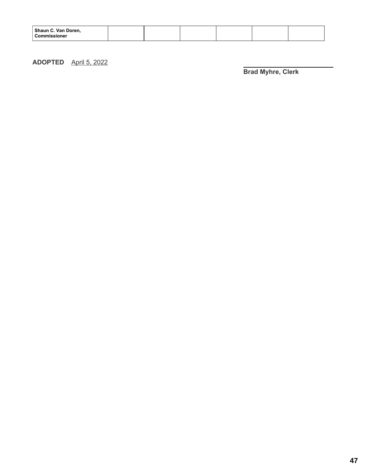| Shaun C. Van Doren,<br>Commissioner |
|-------------------------------------|
|-------------------------------------|

#### **ADOPTED** April 5, 2022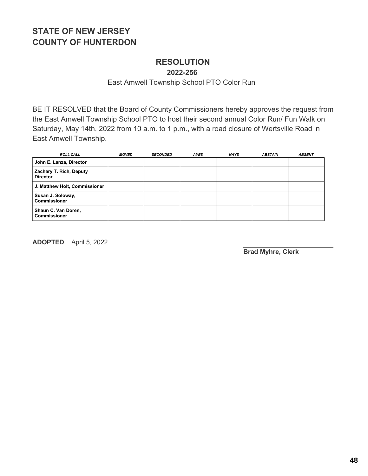### **RESOLUTION**

**2022-256**

East Amwell Township School PTO Color Run

BE IT RESOLVED that the Board of County Commissioners hereby approves the request from the East Amwell Township School PTO to host their second annual Color Run/ Fun Walk on Saturday, May 14th, 2022 from 10 a.m. to 1 p.m., with a road closure of Wertsville Road in East Amwell Township.

| <b>ROLL CALL</b>                           | <b>MOVED</b> | <b>SECONDED</b> | <b>AYES</b> | <b>NAYS</b> | <b>ABSTAIN</b> | <b>ABSENT</b> |
|--------------------------------------------|--------------|-----------------|-------------|-------------|----------------|---------------|
| John E. Lanza, Director                    |              |                 |             |             |                |               |
| Zachary T. Rich, Deputy<br><b>Director</b> |              |                 |             |             |                |               |
| J. Matthew Holt, Commissioner              |              |                 |             |             |                |               |
| Susan J. Soloway,<br><b>Commissioner</b>   |              |                 |             |             |                |               |
| Shaun C. Van Doren,<br><b>Commissioner</b> |              |                 |             |             |                |               |

**ADOPTED** April 5, 2022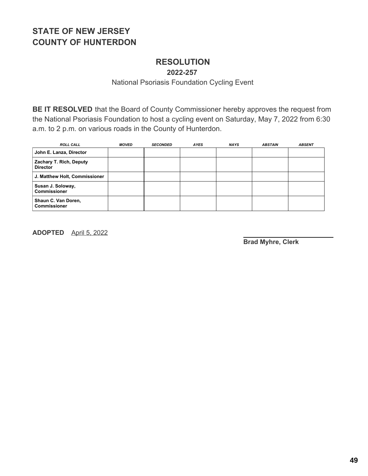### **RESOLUTION**

**2022-257**

National Psoriasis Foundation Cycling Event

**BE IT RESOLVED** that the Board of County Commissioner hereby approves the request from the National Psoriasis Foundation to host a cycling event on Saturday, May 7, 2022 from 6:30 a.m. to 2 p.m. on various roads in the County of Hunterdon.

| <b>ROLL CALL</b>                           | <b>MOVED</b> | <b>SECONDED</b> | <b>AYES</b> | <b>NAYS</b> | <b>ABSTAIN</b> | <b>ABSENT</b> |
|--------------------------------------------|--------------|-----------------|-------------|-------------|----------------|---------------|
| John E. Lanza, Director                    |              |                 |             |             |                |               |
| Zachary T. Rich, Deputy<br><b>Director</b> |              |                 |             |             |                |               |
| J. Matthew Holt, Commissioner              |              |                 |             |             |                |               |
| Susan J. Soloway,<br><b>Commissioner</b>   |              |                 |             |             |                |               |
| Shaun C. Van Doren,<br><b>Commissioner</b> |              |                 |             |             |                |               |

**ADOPTED** April 5, 2022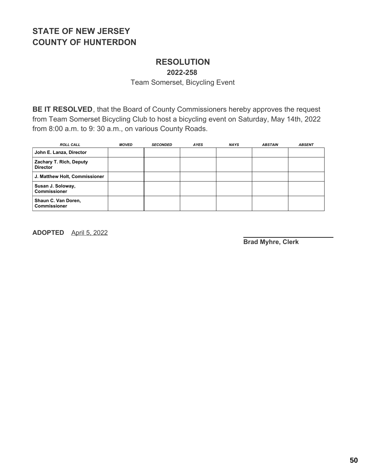# **RESOLUTION**

**2022-258**

Team Somerset, Bicycling Event

**BE IT RESOLVED**, that the Board of County Commissioners hereby approves the request from Team Somerset Bicycling Club to host a bicycling event on Saturday, May 14th, 2022 from 8:00 a.m. to 9: 30 a.m., on various County Roads.

| <b>ROLL CALL</b>                           | <b>MOVED</b> | <b>SECONDED</b> | <b>AYES</b> | <b>NAYS</b> | <b>ABSTAIN</b> | <b>ABSENT</b> |
|--------------------------------------------|--------------|-----------------|-------------|-------------|----------------|---------------|
| John E. Lanza, Director                    |              |                 |             |             |                |               |
| Zachary T. Rich, Deputy<br><b>Director</b> |              |                 |             |             |                |               |
| J. Matthew Holt, Commissioner              |              |                 |             |             |                |               |
| Susan J. Soloway,<br><b>Commissioner</b>   |              |                 |             |             |                |               |
| Shaun C. Van Doren,<br><b>Commissioner</b> |              |                 |             |             |                |               |

**ADOPTED** April 5, 2022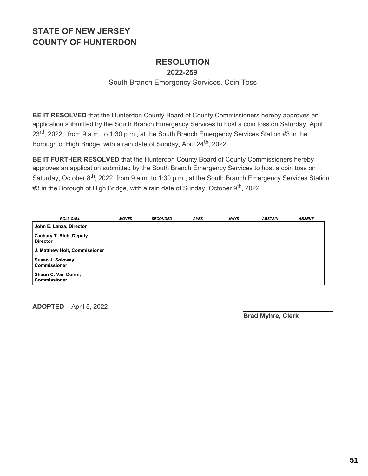## **RESOLUTION**

**2022-259**

#### South Branch Emergency Services, Coin Toss

**BE IT RESOLVED** that the Hunterdon County Board of County Commissioners hereby approves an application submitted by the South Branch Emergency Services to host a coin toss on Saturday, April 23<sup>rd</sup>, 2022, from 9 a.m. to 1:30 p.m., at the South Branch Emergency Services Station #3 in the Borough of High Bridge, with a rain date of Sunday, April 24<sup>th</sup>, 2022.

**BE IT FURTHER RESOLVED** that the Hunterdon County Board of County Commissioners hereby approves an application submitted by the South Branch Emergency Services to host a coin toss on Saturday, October 8<sup>th</sup>, 2022, from 9 a.m. to 1:30 p.m., at the South Branch Emergency Services Station #3 in the Borough of High Bridge, with a rain date of Sunday, October 9<sup>th</sup>, 2022.

| <b>ROLL CALL</b>                           | <b>MOVED</b> | <b>SECONDED</b> | <b>AYES</b> | <b>NAYS</b> | <b>ABSTAIN</b> | <b>ABSENT</b> |
|--------------------------------------------|--------------|-----------------|-------------|-------------|----------------|---------------|
| John E. Lanza, Director                    |              |                 |             |             |                |               |
| Zachary T. Rich, Deputy<br><b>Director</b> |              |                 |             |             |                |               |
| J. Matthew Holt, Commissioner              |              |                 |             |             |                |               |
| Susan J. Soloway,<br><b>Commissioner</b>   |              |                 |             |             |                |               |
| Shaun C. Van Doren,<br><b>Commissioner</b> |              |                 |             |             |                |               |

**ADOPTED** April 5, 2022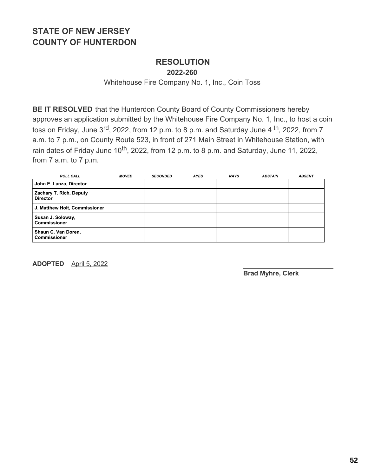### **RESOLUTION**

**2022-260**

Whitehouse Fire Company No. 1, Inc., Coin Toss

**BE IT RESOLVED** that the Hunterdon County Board of County Commissioners hereby approves an application submitted by the Whitehouse Fire Company No. 1, Inc., to host a coin toss on Friday, June 3<sup>rd</sup>, 2022, from 12 p.m. to 8 p.m. and Saturday June 4 <sup>th</sup>, 2022, from 7 a.m. to 7 p.m., on County Route 523, in front of 271 Main Street in Whitehouse Station, with rain dates of Friday June 10<sup>th</sup>, 2022, from 12 p.m. to 8 p.m. and Saturday, June 11, 2022, from 7 a.m. to 7 p.m.

| <b>ROLL CALL</b>                           | <b>MOVED</b> | <b>SECONDED</b> | <b>AYES</b> | <b>NAYS</b> | <b>ABSTAIN</b> | <b>ABSENT</b> |
|--------------------------------------------|--------------|-----------------|-------------|-------------|----------------|---------------|
| John E. Lanza, Director                    |              |                 |             |             |                |               |
| Zachary T. Rich, Deputy<br><b>Director</b> |              |                 |             |             |                |               |
| J. Matthew Holt, Commissioner              |              |                 |             |             |                |               |
| Susan J. Soloway,<br><b>Commissioner</b>   |              |                 |             |             |                |               |
| Shaun C. Van Doren,<br><b>Commissioner</b> |              |                 |             |             |                |               |

**ADOPTED** April 5, 2022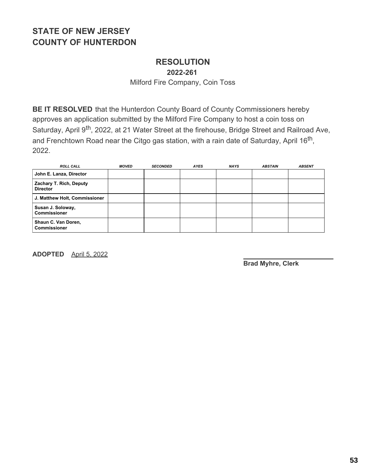### **RESOLUTION**

**2022-261**

Milford Fire Company, Coin Toss

**BE IT RESOLVED** that the Hunterdon County Board of County Commissioners hereby approves an application submitted by the Milford Fire Company to host a coin toss on Saturday, April 9<sup>th</sup>, 2022, at 21 Water Street at the firehouse, Bridge Street and Railroad Ave, and Frenchtown Road near the Citgo gas station, with a rain date of Saturday, April 16<sup>th</sup>, 2022.

| <b>ROLL CALL</b>                           | <b>MOVED</b> | <b>SECONDED</b> | <b>AYES</b> | <b>NAYS</b> | <b>ABSTAIN</b> | <b>ABSENT</b> |
|--------------------------------------------|--------------|-----------------|-------------|-------------|----------------|---------------|
| John E. Lanza, Director                    |              |                 |             |             |                |               |
| Zachary T. Rich, Deputy<br><b>Director</b> |              |                 |             |             |                |               |
| J. Matthew Holt, Commissioner              |              |                 |             |             |                |               |
| Susan J. Soloway,<br><b>Commissioner</b>   |              |                 |             |             |                |               |
| Shaun C. Van Doren,<br><b>Commissioner</b> |              |                 |             |             |                |               |

**ADOPTED** April 5, 2022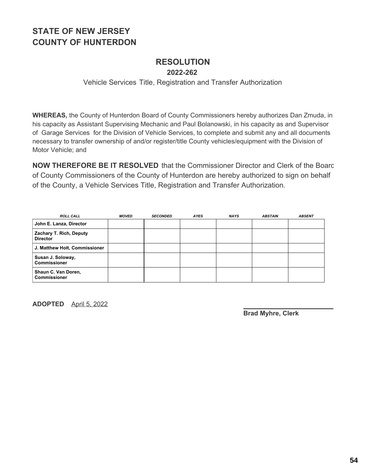#### **RESOLUTION 2022-262**

Vehicle Services Title, Registration and Transfer Authorization

**WHEREAS,** the County of Hunterdon Board of County Commissioners hereby authorizes Dan Zmuda, in his capacity as Assistant Supervising Mechanic and Paul Bolanowski, in his capacity as and Supervisor of Garage Services for the Division of Vehicle Services, to complete and submit any and all documents necessary to transfer ownership of and/or register/title County vehicles/equipment with the Division of Motor Vehicle; and

**NOW THEREFORE BE IT RESOLVED** that the Commissioner Director and Clerk of the Board of County Commissioners of the County of Hunterdon are hereby authorized to sign on behalf of the County, a Vehicle Services Title, Registration and Transfer Authorization.

| <b>ROLL CALL</b>                           | <b>MOVED</b> | <b>SECONDED</b> | <b>AYES</b> | <b>NAYS</b> | <b>ABSTAIN</b> | <b>ABSENT</b> |
|--------------------------------------------|--------------|-----------------|-------------|-------------|----------------|---------------|
| John E. Lanza, Director                    |              |                 |             |             |                |               |
| Zachary T. Rich, Deputy<br><b>Director</b> |              |                 |             |             |                |               |
| J. Matthew Holt, Commissioner              |              |                 |             |             |                |               |
| Susan J. Soloway,<br><b>Commissioner</b>   |              |                 |             |             |                |               |
| Shaun C. Van Doren,<br><b>Commissioner</b> |              |                 |             |             |                |               |

**ADOPTED** April 5, 2022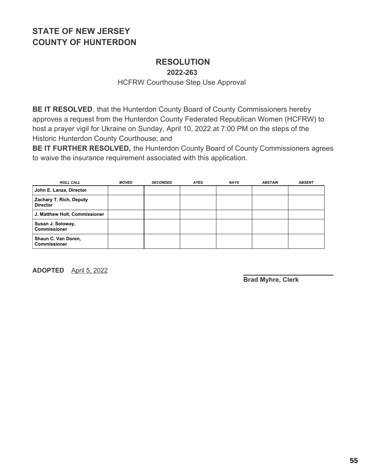### **RESOLUTION**

**2022-263**

HCFRW Courthouse Step Use Approval

**BE IT RESOLVED**, that the Hunterdon County Board of County Commissioners hereby approves a request from the Hunterdon County Federated Republican Women (HCFRW) to host a prayer vigil for Ukraine on Sunday, April 10, 2022 at 7:00 PM on the steps of the Historic Hunterdon County Courthouse; and

**BE IT FURTHER RESOLVED,** the Hunterdon County Board of County Commissioners agrees to waive the insurance requirement associated with this application.

| <b>ROLL CALL</b>                           | <b>MOVED</b> | <b>SECONDED</b> | <b>AYES</b> | <b>NAYS</b> | <b>ABSTAIN</b> | <b>ABSENT</b> |
|--------------------------------------------|--------------|-----------------|-------------|-------------|----------------|---------------|
| John E. Lanza, Director                    |              |                 |             |             |                |               |
| Zachary T. Rich, Deputy<br><b>Director</b> |              |                 |             |             |                |               |
| J. Matthew Holt, Commissioner              |              |                 |             |             |                |               |
| Susan J. Soloway,<br><b>Commissioner</b>   |              |                 |             |             |                |               |
| Shaun C. Van Doren,<br><b>Commissioner</b> |              |                 |             |             |                |               |

**ADOPTED** April 5, 2022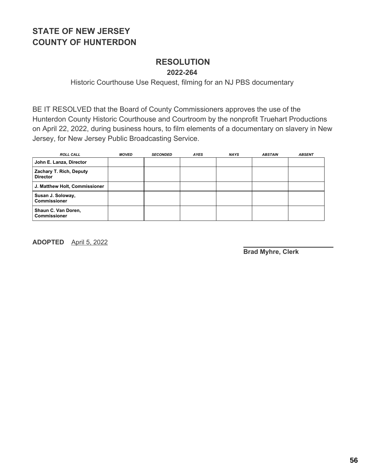#### **RESOLUTION 2022-264**

Historic Courthouse Use Request, filming for an NJ PBS documentary

BE IT RESOLVED that the Board of County Commissioners approves the use of the Hunterdon County Historic Courthouse and Courtroom by the nonprofit Truehart Productions on April 22, 2022, during business hours, to film elements of a documentary on slavery in New Jersey, for New Jersey Public Broadcasting Service.

| <b>ROLL CALL</b>                           | <b>MOVED</b> | <b>SECONDED</b> | <b>AYES</b> | <b>NAYS</b> | <b>ABSTAIN</b> | <b>ABSENT</b> |
|--------------------------------------------|--------------|-----------------|-------------|-------------|----------------|---------------|
| John E. Lanza, Director                    |              |                 |             |             |                |               |
| Zachary T. Rich, Deputy<br><b>Director</b> |              |                 |             |             |                |               |
| J. Matthew Holt, Commissioner              |              |                 |             |             |                |               |
| Susan J. Soloway,<br><b>Commissioner</b>   |              |                 |             |             |                |               |
| Shaun C. Van Doren,<br><b>Commissioner</b> |              |                 |             |             |                |               |

**ADOPTED** April 5, 2022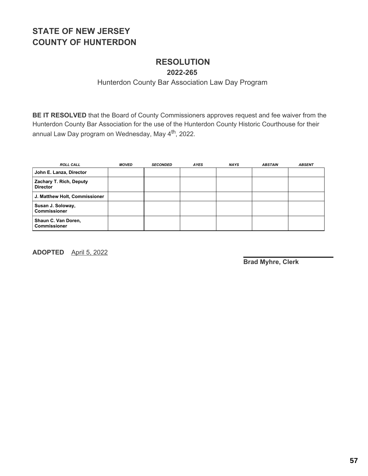### **RESOLUTION**

**2022-265**

#### Hunterdon County Bar Association Law Day Program

**BE IT RESOLVED** that the Board of County Commissioners approves request and fee waiver from the Hunterdon County Bar Association for the use of the Hunterdon County Historic Courthouse for their annual Law Day program on Wednesday, May 4<sup>th</sup>, 2022.

| <b>ROLL CALL</b>                           | <b>MOVED</b> | <b>SECONDED</b> | <b>AYES</b> | <b>NAYS</b> | <b>ABSTAIN</b> | <b>ABSENT</b> |
|--------------------------------------------|--------------|-----------------|-------------|-------------|----------------|---------------|
| John E. Lanza, Director                    |              |                 |             |             |                |               |
| Zachary T. Rich, Deputy<br><b>Director</b> |              |                 |             |             |                |               |
| J. Matthew Holt, Commissioner              |              |                 |             |             |                |               |
| Susan J. Soloway,<br><b>Commissioner</b>   |              |                 |             |             |                |               |
| Shaun C. Van Doren,<br><b>Commissioner</b> |              |                 |             |             |                |               |

**ADOPTED** April 5, 2022